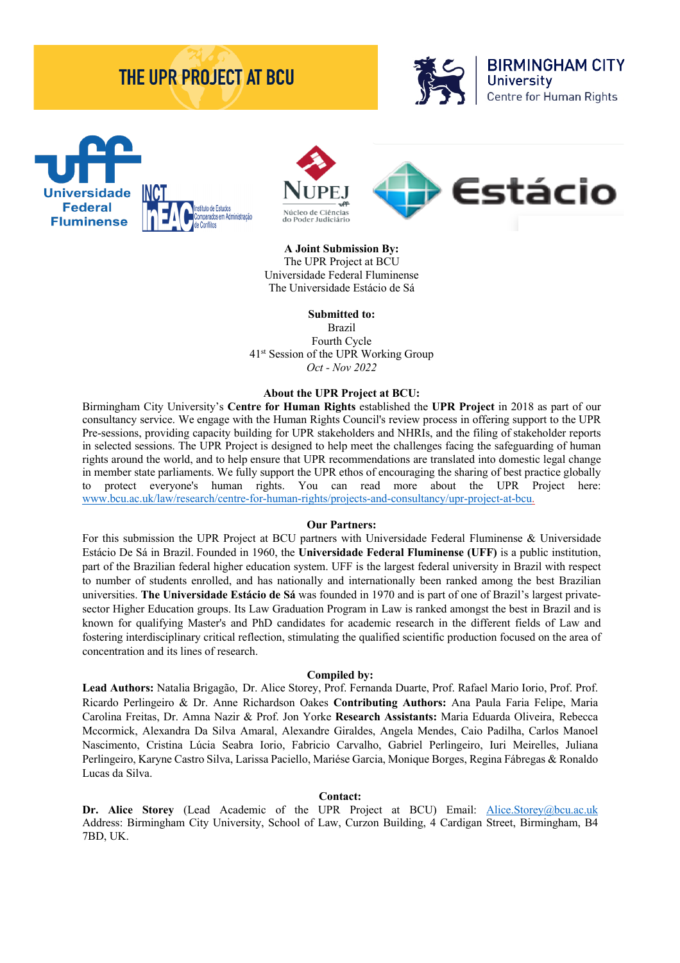# **THE UPR PROJECT AT BCU**









**A Joint Submission By:** The UPR Project at BCU Universidade Federal Fluminense The Universidade Estácio de Sá

**Submitted to:** Brazil Fourth Cycle 41st Session of the UPR Working Group *Oct - Nov 2022*

#### **About the UPR Project at BCU:**

Birmingham City University's **Centre for Human Rights** established the **UPR Project** in 2018 as part of our consultancy service. We engage with the Human Rights Council's review process in offering support to the UPR Pre-sessions, providing capacity building for UPR stakeholders and NHRIs, and the filing of stakeholder reports in selected sessions. The UPR Project is designed to help meet the challenges facing the safeguarding of human rights around the world, and to help ensure that UPR recommendations are translated into domestic legal change in member state parliaments. We fully support the UPR ethos of encouraging the sharing of best practice globally to protect everyone's human rights. You can read more about the UPR Project here: www.bcu.ac.uk/law/research/centre-for-human-rights/projects-and-consultancy/upr-project-at-bcu.

#### **Our Partners:**

For this submission the UPR Project at BCU partners with Universidade Federal Fluminense & Universidade Estácio De Sá in Brazil. Founded in 1960, the **Universidade Federal Fluminense (UFF)** is a public institution, part of the Brazilian federal higher education system. UFF is the largest federal university in Brazil with respect to number of students enrolled, and has nationally and internationally been ranked among the best Brazilian universities. **The Universidade Estácio de Sá** was founded in 1970 and is part of one of Brazil's largest privatesector Higher Education groups. Its Law Graduation Program in Law is ranked amongst the best in Brazil and is known for qualifying Master's and PhD candidates for academic research in the different fields of Law and fostering interdisciplinary critical reflection, stimulating the qualified scientific production focused on the area of concentration and its lines of research.

#### **Compiled by:**

**Lead Authors:** Natalia Brigagão, Dr. Alice Storey, Prof. Fernanda Duarte, Prof. Rafael Mario Iorio, Prof. Prof. Ricardo Perlingeiro & Dr. Anne Richardson Oakes **Contributing Authors:** Ana Paula Faria Felipe, Maria Carolina Freitas, Dr. Amna Nazir & Prof. Jon Yorke **Research Assistants:** Maria Eduarda Oliveira, Rebecca Mccormick, Alexandra Da Silva Amaral, Alexandre Giraldes, Angela Mendes, Caio Padilha, Carlos Manoel Nascimento, Cristina Lúcia Seabra Iorio, Fabricio Carvalho, Gabriel Perlingeiro, Iuri Meirelles, Juliana Perlingeiro, Karyne Castro Silva, Larissa Paciello, Mariése Garcia, Monique Borges, Regina Fábregas & Ronaldo Lucas da Silva.

#### **Contact:**

Dr. Alice Storey (Lead Academic of the UPR Project at BCU) Email: Alice.Storey@bcu.ac.uk Address: Birmingham City University, School of Law, Curzon Building, 4 Cardigan Street, Birmingham, B4 7BD, UK.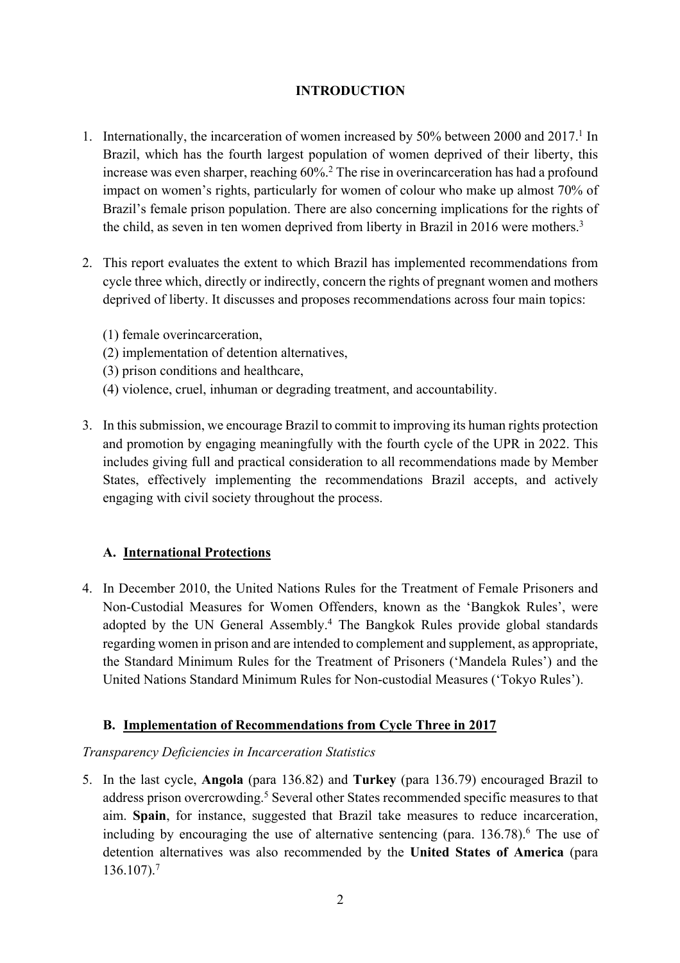# **INTRODUCTION**

- 1. Internationally, the incarceration of women increased by 50% between 2000 and 2017.<sup>1</sup> In Brazil, which has the fourth largest population of women deprived of their liberty, this increase was even sharper, reaching 60%.<sup>2</sup> The rise in overincarceration has had a profound impact on women's rights, particularly for women of colour who make up almost 70% of Brazil's female prison population. There are also concerning implications for the rights of the child, as seven in ten women deprived from liberty in Brazil in 2016 were mothers.<sup>3</sup>
- 2. This report evaluates the extent to which Brazil has implemented recommendations from cycle three which, directly or indirectly, concern the rights of pregnant women and mothers deprived of liberty. It discusses and proposes recommendations across four main topics:
	- (1) female overincarceration,
	- (2) implementation of detention alternatives,
	- (3) prison conditions and healthcare,
	- (4) violence, cruel, inhuman or degrading treatment, and accountability.
- 3. In this submission, we encourage Brazil to commit to improving its human rights protection and promotion by engaging meaningfully with the fourth cycle of the UPR in 2022. This includes giving full and practical consideration to all recommendations made by Member States, effectively implementing the recommendations Brazil accepts, and actively engaging with civil society throughout the process.

# **A. International Protections**

4. In December 2010, the United Nations Rules for the Treatment of Female Prisoners and Non-Custodial Measures for Women Offenders, known as the 'Bangkok Rules', were adopted by the UN General Assembly.<sup>4</sup> The Bangkok Rules provide global standards regarding women in prison and are intended to complement and supplement, as appropriate, the Standard Minimum Rules for the Treatment of Prisoners ('Mandela Rules') and the United Nations Standard Minimum Rules for Non-custodial Measures ('Tokyo Rules').

# **B. Implementation of Recommendations from Cycle Three in 2017**

# *Transparency Deficiencies in Incarceration Statistics*

5. In the last cycle, **Angola** (para 136.82) and **Turkey** (para 136.79) encouraged Brazil to address prison overcrowding.<sup>5</sup> Several other States recommended specific measures to that aim. **Spain**, for instance, suggested that Brazil take measures to reduce incarceration, including by encouraging the use of alternative sentencing (para.  $136.78$ ).<sup>6</sup> The use of detention alternatives was also recommended by the **United States of America** (para 136.107).7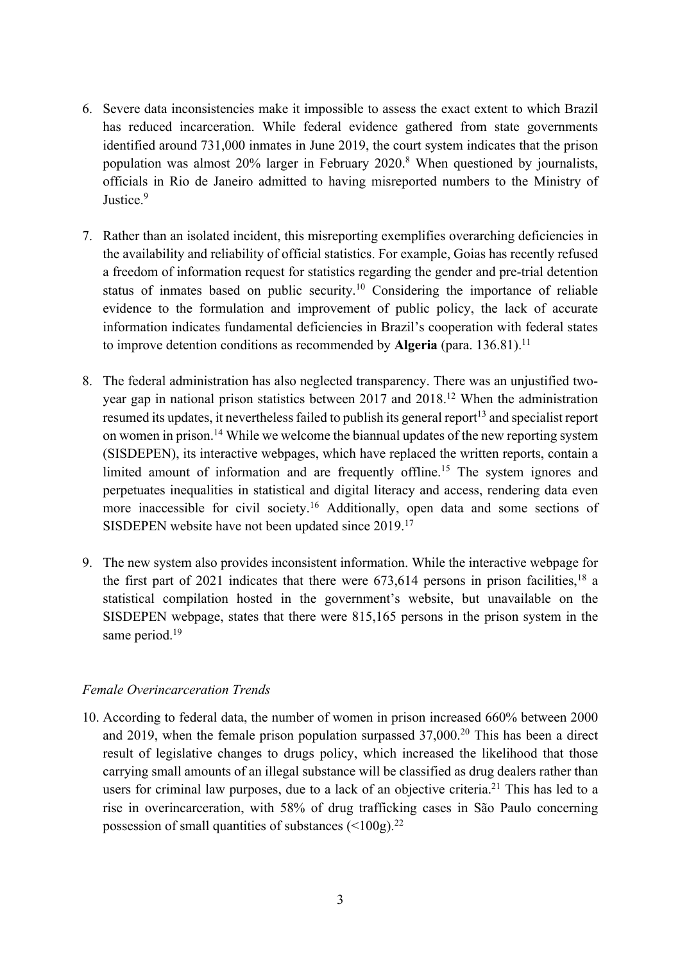- 6. Severe data inconsistencies make it impossible to assess the exact extent to which Brazil has reduced incarceration. While federal evidence gathered from state governments identified around 731,000 inmates in June 2019, the court system indicates that the prison population was almost 20% larger in February 2020.8 When questioned by journalists, officials in Rio de Janeiro admitted to having misreported numbers to the Ministry of Justice.<sup>9</sup>
- 7. Rather than an isolated incident, this misreporting exemplifies overarching deficiencies in the availability and reliability of official statistics. For example, Goias has recently refused a freedom of information request for statistics regarding the gender and pre-trial detention status of inmates based on public security.10 Considering the importance of reliable evidence to the formulation and improvement of public policy, the lack of accurate information indicates fundamental deficiencies in Brazil's cooperation with federal states to improve detention conditions as recommended by **Algeria** (para. 136.81).<sup>11</sup>
- 8. The federal administration has also neglected transparency. There was an unjustified twoyear gap in national prison statistics between 2017 and 2018.12 When the administration resumed its updates, it nevertheless failed to publish its general report<sup>13</sup> and specialist report on women in prison.<sup>14</sup> While we welcome the biannual updates of the new reporting system (SISDEPEN), its interactive webpages, which have replaced the written reports, contain a limited amount of information and are frequently offline.<sup>15</sup> The system ignores and perpetuates inequalities in statistical and digital literacy and access, rendering data even more inaccessible for civil society.16 Additionally, open data and some sections of SISDEPEN website have not been updated since 2019.<sup>17</sup>
- 9. The new system also provides inconsistent information. While the interactive webpage for the first part of 2021 indicates that there were  $673,614$  persons in prison facilities,<sup>18</sup> a statistical compilation hosted in the government's website, but unavailable on the SISDEPEN webpage, states that there were 815,165 persons in the prison system in the same period. 19

## *Female Overincarceration Trends*

10. According to federal data, the number of women in prison increased 660% between 2000 and 2019, when the female prison population surpassed  $37,000$ <sup>20</sup> This has been a direct result of legislative changes to drugs policy, which increased the likelihood that those carrying small amounts of an illegal substance will be classified as drug dealers rather than users for criminal law purposes, due to a lack of an objective criteria.<sup>21</sup> This has led to a rise in overincarceration, with 58% of drug trafficking cases in São Paulo concerning possession of small quantities of substances  $\left($  < 100g).<sup>22</sup>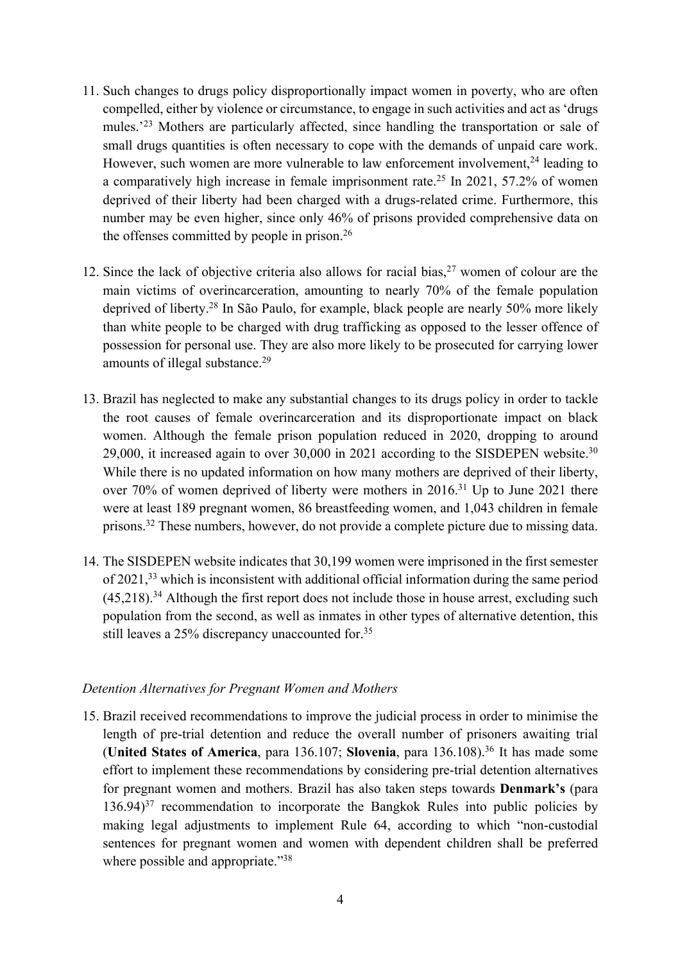- 11. Such changes to drugs policy disproportionally impact women in poverty, who are often compelled, either by violence or circumstance, to engage in such activities and act as 'drugs mules.<sup>'23</sup> Mothers are particularly affected, since handling the transportation or sale of small drugs quantities is often necessary to cope with the demands of unpaid care work. However, such women are more vulnerable to law enforcement involvement,<sup>24</sup> leading to a comparatively high increase in female imprisonment rate.<sup>25</sup> In 2021, 57.2% of women deprived of their liberty had been charged with a drugs-related crime. Furthermore, this number may be even higher, since only 46% of prisons provided comprehensive data on the offenses committed by people in prison. 26
- 12. Since the lack of objective criteria also allows for racial bias,  $27$  women of colour are the main victims of overincarceration, amounting to nearly 70% of the female population deprived of liberty.28 In São Paulo, for example, black people are nearly 50% more likely than white people to be charged with drug trafficking as opposed to the lesser offence of possession for personal use. They are also more likely to be prosecuted for carrying lower amounts of illegal substance.<sup>29</sup>
- 13. Brazil has neglected to make any substantial changes to its drugs policy in order to tackle the root causes of female overincarceration and its disproportionate impact on black women. Although the female prison population reduced in 2020, dropping to around 29,000, it increased again to over 30,000 in 2021 according to the SISDEPEN website.<sup>30</sup> While there is no updated information on how many mothers are deprived of their liberty, over 70% of women deprived of liberty were mothers in 2016.31 Up to June 2021 there were at least 189 pregnant women, 86 breastfeeding women, and 1,043 children in female prisons.32 These numbers, however, do not provide a complete picture due to missing data.
- 14. The SISDEPEN website indicates that 30,199 women were imprisoned in the first semester of 2021,<sup>33</sup> which is inconsistent with additional official information during the same period  $(45.218).<sup>34</sup>$  Although the first report does not include those in house arrest, excluding such population from the second, as well as inmates in other types of alternative detention, this still leaves a 25% discrepancy unaccounted for.<sup>35</sup>

## *Detention Alternatives for Pregnant Women and Mothers*

15. Brazil received recommendations to improve the judicial process in order to minimise the length of pre-trial detention and reduce the overall number of prisoners awaiting trial (**United States of America**, para 136.107; **Slovenia**, para 136.108). <sup>36</sup> It has made some effort to implement these recommendations by considering pre-trial detention alternatives for pregnant women and mothers. Brazil has also taken steps towards **Denmark's** (para  $136.94$ <sup>37</sup> recommendation to incorporate the Bangkok Rules into public policies by making legal adjustments to implement Rule 64, according to which "non-custodial sentences for pregnant women and women with dependent children shall be preferred where possible and appropriate."<sup>38</sup>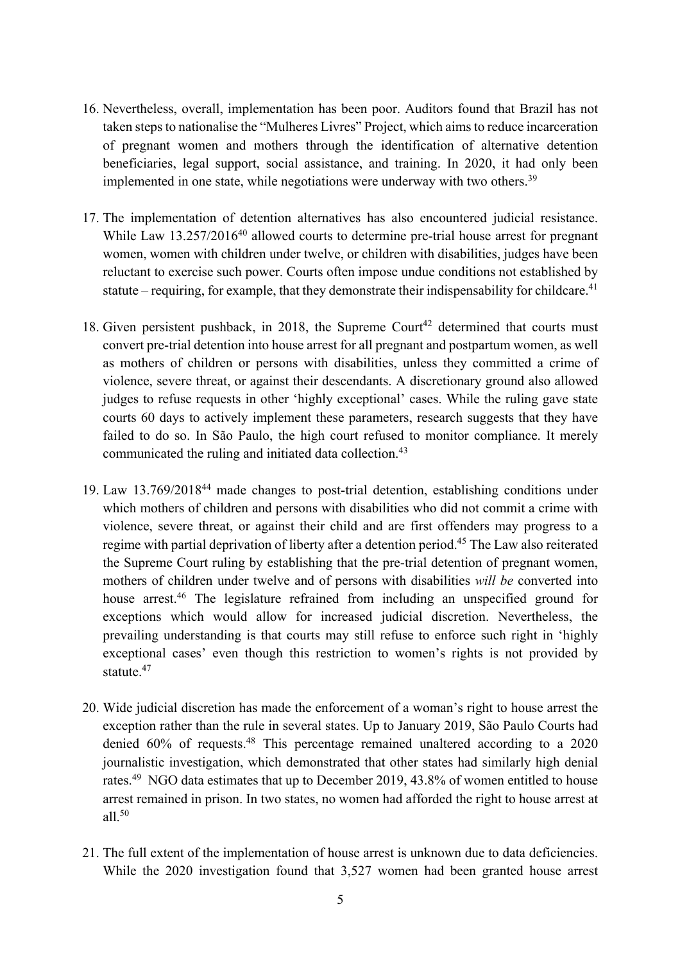- 16. Nevertheless, overall, implementation has been poor. Auditors found that Brazil has not taken steps to nationalise the "Mulheres Livres" Project, which aims to reduce incarceration of pregnant women and mothers through the identification of alternative detention beneficiaries, legal support, social assistance, and training. In 2020, it had only been implemented in one state, while negotiations were underway with two others.<sup>39</sup>
- 17. The implementation of detention alternatives has also encountered judicial resistance. While Law 13.257/2016<sup>40</sup> allowed courts to determine pre-trial house arrest for pregnant women, women with children under twelve, or children with disabilities, judges have been reluctant to exercise such power. Courts often impose undue conditions not established by statute – requiring, for example, that they demonstrate their indispensability for childcare.<sup>41</sup>
- 18. Given persistent pushback, in 2018, the Supreme Court<sup>42</sup> determined that courts must convert pre-trial detention into house arrest for all pregnant and postpartum women, as well as mothers of children or persons with disabilities, unless they committed a crime of violence, severe threat, or against their descendants. A discretionary ground also allowed judges to refuse requests in other 'highly exceptional' cases. While the ruling gave state courts 60 days to actively implement these parameters, research suggests that they have failed to do so. In São Paulo, the high court refused to monitor compliance. It merely communicated the ruling and initiated data collection.43
- 19. Law 13.769/201844 made changes to post-trial detention, establishing conditions under which mothers of children and persons with disabilities who did not commit a crime with violence, severe threat, or against their child and are first offenders may progress to a regime with partial deprivation of liberty after a detention period.45 The Law also reiterated the Supreme Court ruling by establishing that the pre-trial detention of pregnant women, mothers of children under twelve and of persons with disabilities *will be* converted into house arrest.<sup>46</sup> The legislature refrained from including an unspecified ground for exceptions which would allow for increased judicial discretion. Nevertheless, the prevailing understanding is that courts may still refuse to enforce such right in 'highly exceptional cases' even though this restriction to women's rights is not provided by statute.<sup>47</sup>
- 20. Wide judicial discretion has made the enforcement of a woman's right to house arrest the exception rather than the rule in several states. Up to January 2019, São Paulo Courts had denied 60% of requests.48 This percentage remained unaltered according to a 2020 journalistic investigation, which demonstrated that other states had similarly high denial rates.49 NGO data estimates that up to December 2019, 43.8% of women entitled to house arrest remained in prison. In two states, no women had afforded the right to house arrest at all.50
- 21. The full extent of the implementation of house arrest is unknown due to data deficiencies. While the 2020 investigation found that 3,527 women had been granted house arrest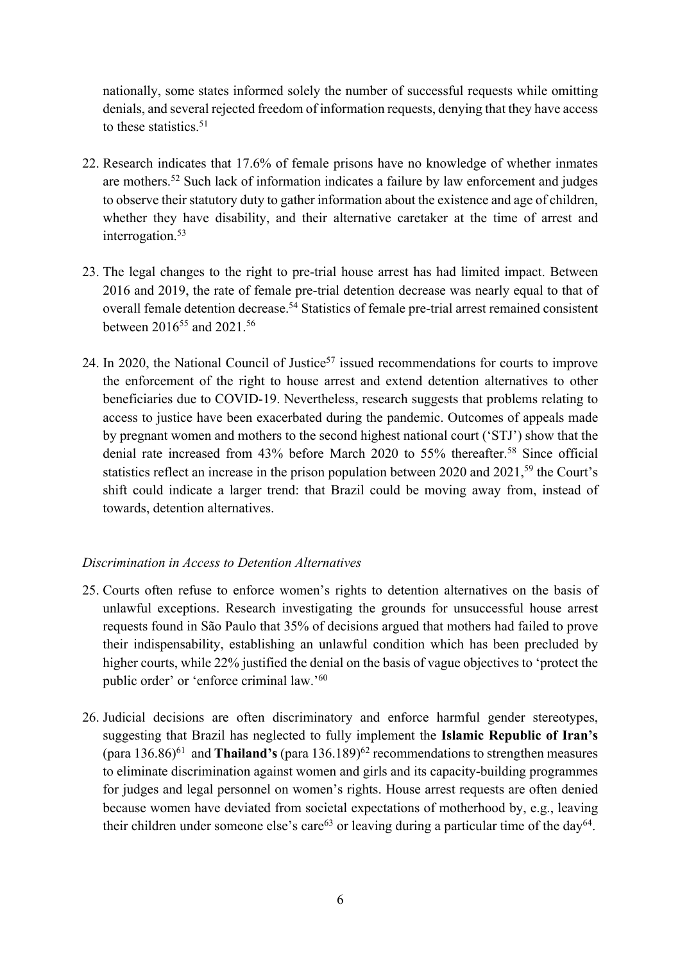nationally, some states informed solely the number of successful requests while omitting denials, and several rejected freedom of information requests, denying that they have access to these statistics. $51$ 

- 22. Research indicates that 17.6% of female prisons have no knowledge of whether inmates are mothers.52 Such lack of information indicates a failure by law enforcement and judges to observe their statutory duty to gather information about the existence and age of children, whether they have disability, and their alternative caretaker at the time of arrest and interrogation.<sup>53</sup>
- 23. The legal changes to the right to pre-trial house arrest has had limited impact. Between 2016 and 2019, the rate of female pre-trial detention decrease was nearly equal to that of overall female detention decrease.<sup>54</sup> Statistics of female pre-trial arrest remained consistent between 2016<sup>55</sup> and 2021.<sup>56</sup>
- 24. In 2020, the National Council of Justice<sup>57</sup> issued recommendations for courts to improve the enforcement of the right to house arrest and extend detention alternatives to other beneficiaries due to COVID-19. Nevertheless, research suggests that problems relating to access to justice have been exacerbated during the pandemic. Outcomes of appeals made by pregnant women and mothers to the second highest national court ('STJ') show that the denial rate increased from 43% before March 2020 to 55% thereafter.<sup>58</sup> Since official statistics reflect an increase in the prison population between 2020 and 2021,<sup>59</sup> the Court's shift could indicate a larger trend: that Brazil could be moving away from, instead of towards, detention alternatives.

# *Discrimination in Access to Detention Alternatives*

- 25. Courts often refuse to enforce women's rights to detention alternatives on the basis of unlawful exceptions. Research investigating the grounds for unsuccessful house arrest requests found in São Paulo that 35% of decisions argued that mothers had failed to prove their indispensability, establishing an unlawful condition which has been precluded by higher courts, while 22% justified the denial on the basis of vague objectives to 'protect the public order' or 'enforce criminal law.'<sup>60</sup>
- 26. Judicial decisions are often discriminatory and enforce harmful gender stereotypes, suggesting that Brazil has neglected to fully implement the **Islamic Republic of Iran's**  (para 136.86)61 and **Thailand's** (para 136.189)62 recommendations to strengthen measures to eliminate discrimination against women and girls and its capacity-building programmes for judges and legal personnel on women's rights. House arrest requests are often denied because women have deviated from societal expectations of motherhood by, e.g., leaving their children under someone else's care<sup>63</sup> or leaving during a particular time of the day<sup>64</sup>.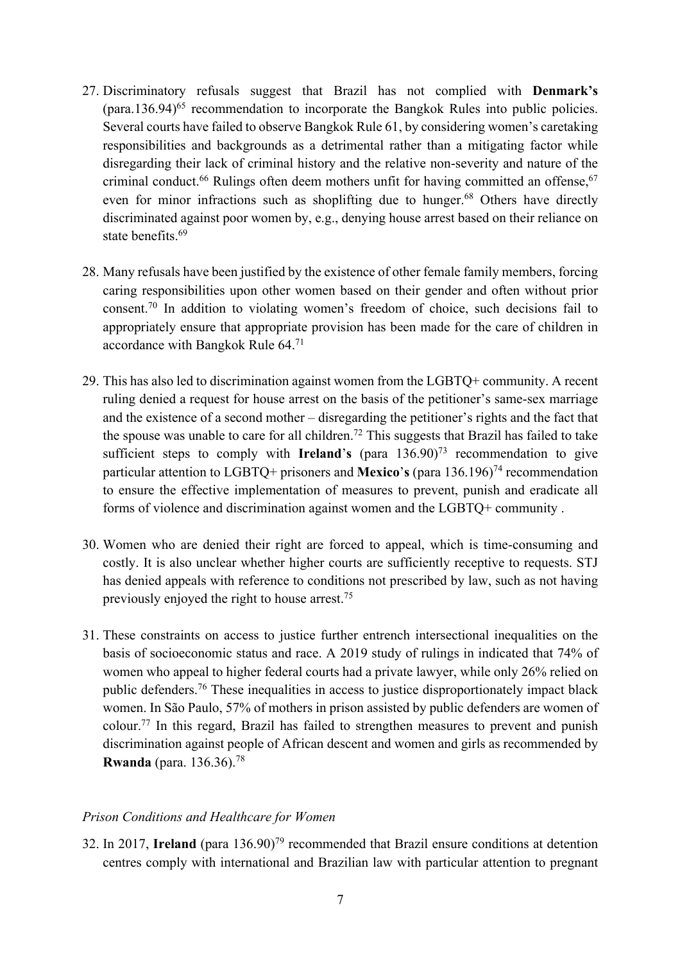- 27. Discriminatory refusals suggest that Brazil has not complied with **Denmark's**  $(para.136.94)^{65}$  recommendation to incorporate the Bangkok Rules into public policies. Several courts have failed to observe Bangkok Rule 61, by considering women's caretaking responsibilities and backgrounds as a detrimental rather than a mitigating factor while disregarding their lack of criminal history and the relative non-severity and nature of the criminal conduct.<sup>66</sup> Rulings often deem mothers unfit for having committed an offense,  $67$ even for minor infractions such as shoplifting due to hunger.<sup>68</sup> Others have directly discriminated against poor women by, e.g., denying house arrest based on their reliance on state benefits <sup>69</sup>
- 28. Many refusals have been justified by the existence of other female family members, forcing caring responsibilities upon other women based on their gender and often without prior consent.70 In addition to violating women's freedom of choice, such decisions fail to appropriately ensure that appropriate provision has been made for the care of children in accordance with Bangkok Rule 64.71
- 29. This has also led to discrimination against women from the LGBTQ+ community. A recent ruling denied a request for house arrest on the basis of the petitioner's same-sex marriage and the existence of a second mother – disregarding the petitioner's rights and the fact that the spouse was unable to care for all children.<sup>72</sup> This suggests that Brazil has failed to take sufficient steps to comply with **Ireland**'**s** (para 136.90)73 recommendation to give particular attention to LGBTQ+ prisoners and **Mexico**'s (para 136.196)<sup>74</sup> recommendation to ensure the effective implementation of measures to prevent, punish and eradicate all forms of violence and discrimination against women and the LGBTQ+ community .
- 30. Women who are denied their right are forced to appeal, which is time-consuming and costly. It is also unclear whether higher courts are sufficiently receptive to requests. STJ has denied appeals with reference to conditions not prescribed by law, such as not having previously enjoyed the right to house arrest.<sup>75</sup>
- 31. These constraints on access to justice further entrench intersectional inequalities on the basis of socioeconomic status and race. A 2019 study of rulings in indicated that 74% of women who appeal to higher federal courts had a private lawyer, while only 26% relied on public defenders.76 These inequalities in access to justice disproportionately impact black women. In São Paulo, 57% of mothers in prison assisted by public defenders are women of colour.77 In this regard, Brazil has failed to strengthen measures to prevent and punish discrimination against people of African descent and women and girls as recommended by **Rwanda** (para. 136.36).78

## *Prison Conditions and Healthcare for Women*

32. In 2017, **Ireland** (para 136.90)79 recommended that Brazil ensure conditions at detention centres comply with international and Brazilian law with particular attention to pregnant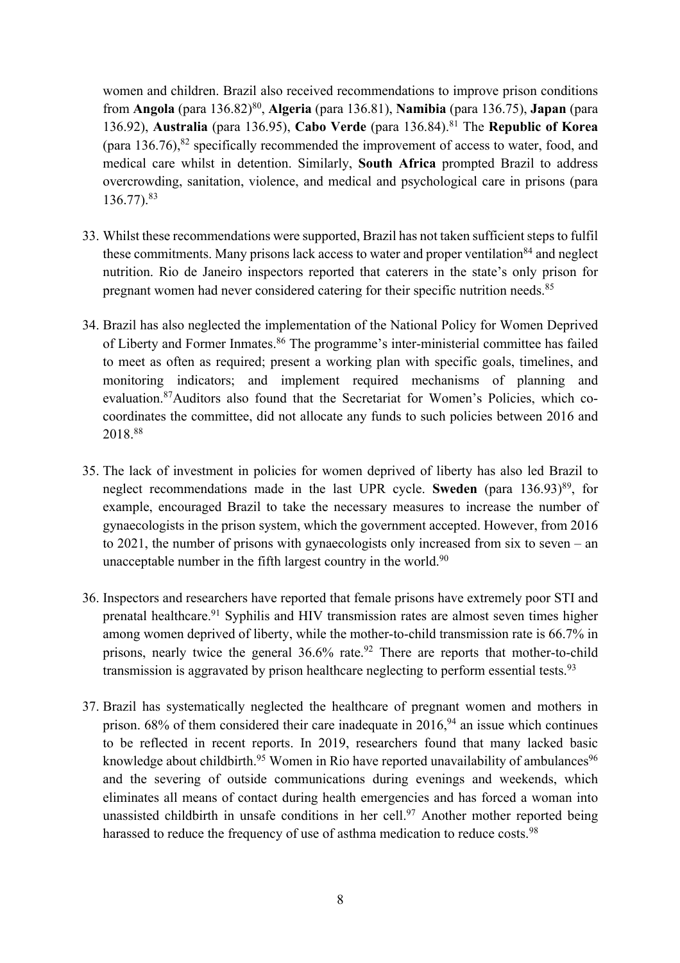women and children. Brazil also received recommendations to improve prison conditions from **Angola** (para 136.82)80, **Algeria** (para 136.81), **Namibia** (para 136.75), **Japan** (para 136.92), **Australia** (para 136.95), **Cabo Verde** (para 136.84). <sup>81</sup> The **Republic of Korea** (para  $136.76$ ), $82$  specifically recommended the improvement of access to water, food, and medical care whilst in detention. Similarly, **South Africa** prompted Brazil to address overcrowding, sanitation, violence, and medical and psychological care in prisons (para 136.77).83

- 33. Whilst these recommendations were supported, Brazil has not taken sufficient steps to fulfil these commitments. Many prisons lack access to water and proper ventilation<sup>84</sup> and neglect nutrition. Rio de Janeiro inspectors reported that caterers in the state's only prison for pregnant women had never considered catering for their specific nutrition needs.<sup>85</sup>
- 34. Brazil has also neglected the implementation of the National Policy for Women Deprived of Liberty and Former Inmates.<sup>86</sup> The programme's inter-ministerial committee has failed to meet as often as required; present a working plan with specific goals, timelines, and monitoring indicators; and implement required mechanisms of planning and evaluation.87Auditors also found that the Secretariat for Women's Policies, which cocoordinates the committee, did not allocate any funds to such policies between 2016 and 2018.88
- 35. The lack of investment in policies for women deprived of liberty has also led Brazil to neglect recommendations made in the last UPR cycle. **Sweden** (para 136.93)<sup>89</sup>, for example, encouraged Brazil to take the necessary measures to increase the number of gynaecologists in the prison system, which the government accepted. However, from 2016 to 2021, the number of prisons with gynaecologists only increased from six to seven – an unacceptable number in the fifth largest country in the world. $90$
- 36. Inspectors and researchers have reported that female prisons have extremely poor STI and prenatal healthcare.91 Syphilis and HIV transmission rates are almost seven times higher among women deprived of liberty, while the mother-to-child transmission rate is 66.7% in prisons, nearly twice the general 36.6% rate.<sup>92</sup> There are reports that mother-to-child transmission is aggravated by prison healthcare neglecting to perform essential tests.<sup>93</sup>
- 37. Brazil has systematically neglected the healthcare of pregnant women and mothers in prison.  $68\%$  of them considered their care inadequate in  $2016$ ,  $94$  an issue which continues to be reflected in recent reports. In 2019, researchers found that many lacked basic knowledge about childbirth.<sup>95</sup> Women in Rio have reported unavailability of ambulances<sup>96</sup> and the severing of outside communications during evenings and weekends, which eliminates all means of contact during health emergencies and has forced a woman into unassisted childbirth in unsafe conditions in her cell.<sup>97</sup> Another mother reported being harassed to reduce the frequency of use of asthma medication to reduce costs.<sup>98</sup>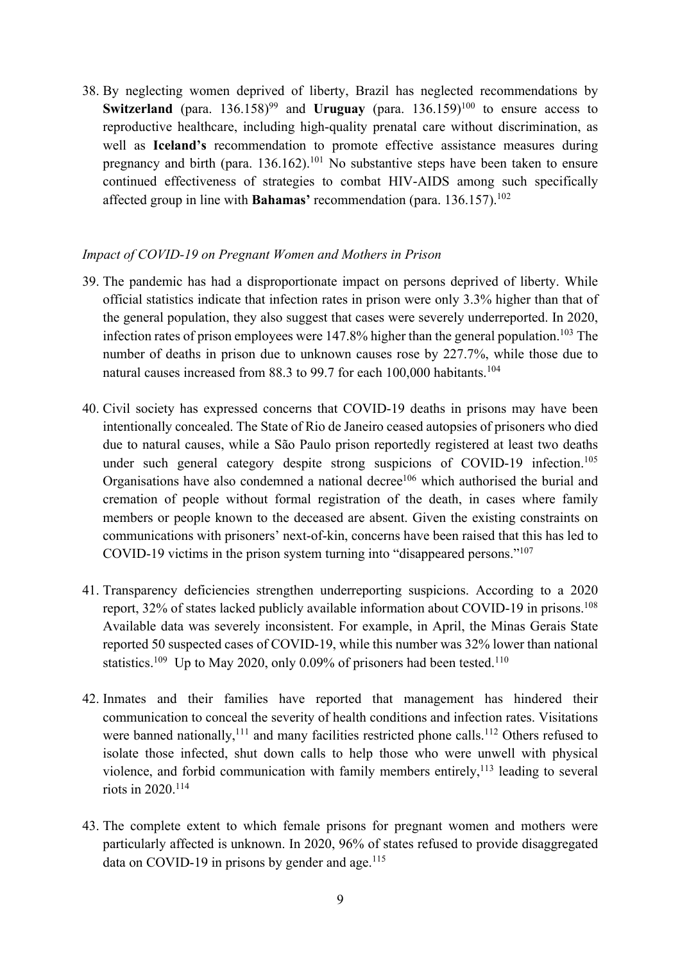38. By neglecting women deprived of liberty, Brazil has neglected recommendations by **Switzerland** (para.  $136.158$ <sup>99</sup> and **Uruguay** (para.  $136.159$ <sup>100</sup> to ensure access to reproductive healthcare, including high-quality prenatal care without discrimination, as well as **Iceland's** recommendation to promote effective assistance measures during pregnancy and birth (para.  $136.162$ ).<sup>101</sup> No substantive steps have been taken to ensure continued effectiveness of strategies to combat HIV-AIDS among such specifically affected group in line with **Bahamas'** recommendation (para. 136.157).102

## *Impact of COVID-19 on Pregnant Women and Mothers in Prison*

- 39. The pandemic has had a disproportionate impact on persons deprived of liberty. While official statistics indicate that infection rates in prison were only 3.3% higher than that of the general population, they also suggest that cases were severely underreported. In 2020, infection rates of prison employees were 147.8% higher than the general population. <sup>103</sup> The number of deaths in prison due to unknown causes rose by 227.7%, while those due to natural causes increased from 88.3 to 99.7 for each 100,000 habitants.<sup>104</sup>
- 40. Civil society has expressed concerns that COVID-19 deaths in prisons may have been intentionally concealed. The State of Rio de Janeiro ceased autopsies of prisoners who died due to natural causes, while a São Paulo prison reportedly registered at least two deaths under such general category despite strong suspicions of COVID-19 infection.<sup>105</sup> Organisations have also condemned a national decree<sup>106</sup> which authorised the burial and cremation of people without formal registration of the death, in cases where family members or people known to the deceased are absent. Given the existing constraints on communications with prisoners' next-of-kin, concerns have been raised that this has led to COVID-19 victims in the prison system turning into "disappeared persons."107
- 41. Transparency deficiencies strengthen underreporting suspicions. According to a 2020 report,  $32\%$  of states lacked publicly available information about COVID-19 in prisons.<sup>108</sup> Available data was severely inconsistent. For example, in April, the Minas Gerais State reported 50 suspected cases of COVID-19, while this number was 32% lower than national statistics.<sup>109</sup> Up to May 2020, only 0.09% of prisoners had been tested.<sup>110</sup>
- 42. Inmates and their families have reported that management has hindered their communication to conceal the severity of health conditions and infection rates. Visitations were banned nationally, $^{111}$  and many facilities restricted phone calls.<sup>112</sup> Others refused to isolate those infected, shut down calls to help those who were unwell with physical violence, and forbid communication with family members entirely, $^{113}$  leading to several riots in 2020.114
- 43. The complete extent to which female prisons for pregnant women and mothers were particularly affected is unknown. In 2020, 96% of states refused to provide disaggregated data on COVID-19 in prisons by gender and age.<sup>115</sup>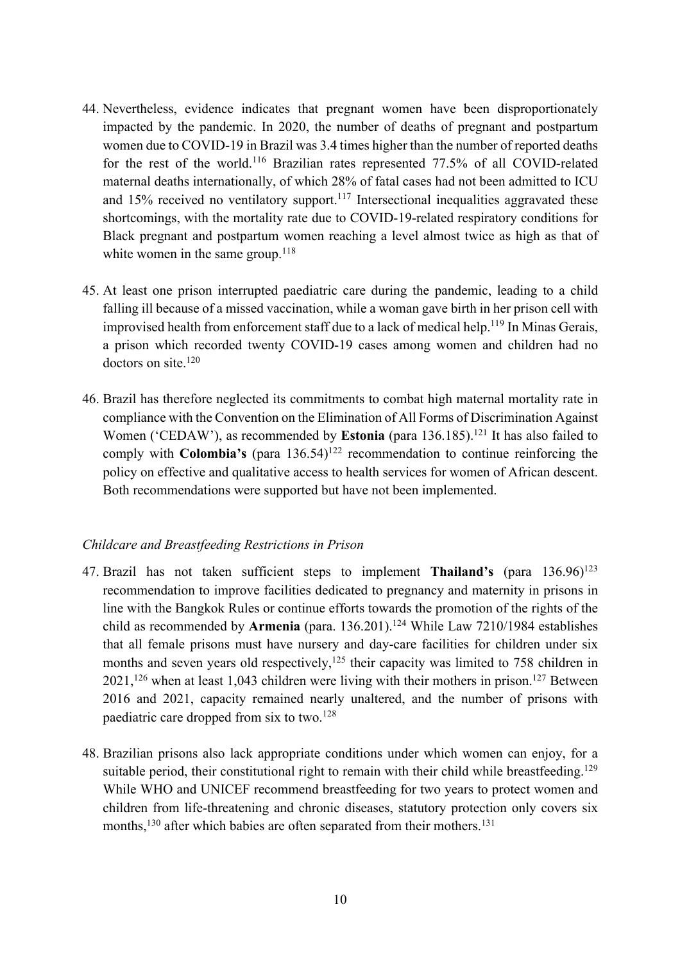- 44. Nevertheless, evidence indicates that pregnant women have been disproportionately impacted by the pandemic. In 2020, the number of deaths of pregnant and postpartum women due to COVID-19 in Brazil was 3.4 times higher than the number of reported deaths for the rest of the world.116 Brazilian rates represented 77.5% of all COVID-related maternal deaths internationally, of which 28% of fatal cases had not been admitted to ICU and  $15\%$  received no ventilatory support.<sup>117</sup> Intersectional inequalities aggravated these shortcomings, with the mortality rate due to COVID-19-related respiratory conditions for Black pregnant and postpartum women reaching a level almost twice as high as that of white women in the same group. $118$
- 45. At least one prison interrupted paediatric care during the pandemic, leading to a child falling ill because of a missed vaccination, while a woman gave birth in her prison cell with improvised health from enforcement staff due to a lack of medical help.<sup>119</sup> In Minas Gerais, a prison which recorded twenty COVID-19 cases among women and children had no doctors on site.<sup>120</sup>
- 46. Brazil has therefore neglected its commitments to combat high maternal mortality rate in compliance with the Convention on the Elimination of All Forms of Discrimination Against Women ('CEDAW'), as recommended by **Estonia** (para 136.185).<sup>121</sup> It has also failed to comply with **Colombia's** (para 136.54)<sup>122</sup> recommendation to continue reinforcing the policy on effective and qualitative access to health services for women of African descent. Both recommendations were supported but have not been implemented.

## *Childcare and Breastfeeding Restrictions in Prison*

- 47. Brazil has not taken sufficient steps to implement **Thailand's** (para 136.96)123 recommendation to improve facilities dedicated to pregnancy and maternity in prisons in line with the Bangkok Rules or continue efforts towards the promotion of the rights of the child as recommended by **Armenia** (para. 136.201).<sup>124</sup> While Law 7210/1984 establishes that all female prisons must have nursery and day-care facilities for children under six months and seven years old respectively,  $125$  their capacity was limited to 758 children in  $2021$ ,<sup>126</sup> when at least 1,043 children were living with their mothers in prison.<sup>127</sup> Between 2016 and 2021, capacity remained nearly unaltered, and the number of prisons with paediatric care dropped from six to two.128
- 48. Brazilian prisons also lack appropriate conditions under which women can enjoy, for a suitable period, their constitutional right to remain with their child while breastfeeding.<sup>129</sup> While WHO and UNICEF recommend breastfeeding for two years to protect women and children from life-threatening and chronic diseases, statutory protection only covers six months,<sup>130</sup> after which babies are often separated from their mothers.<sup>131</sup>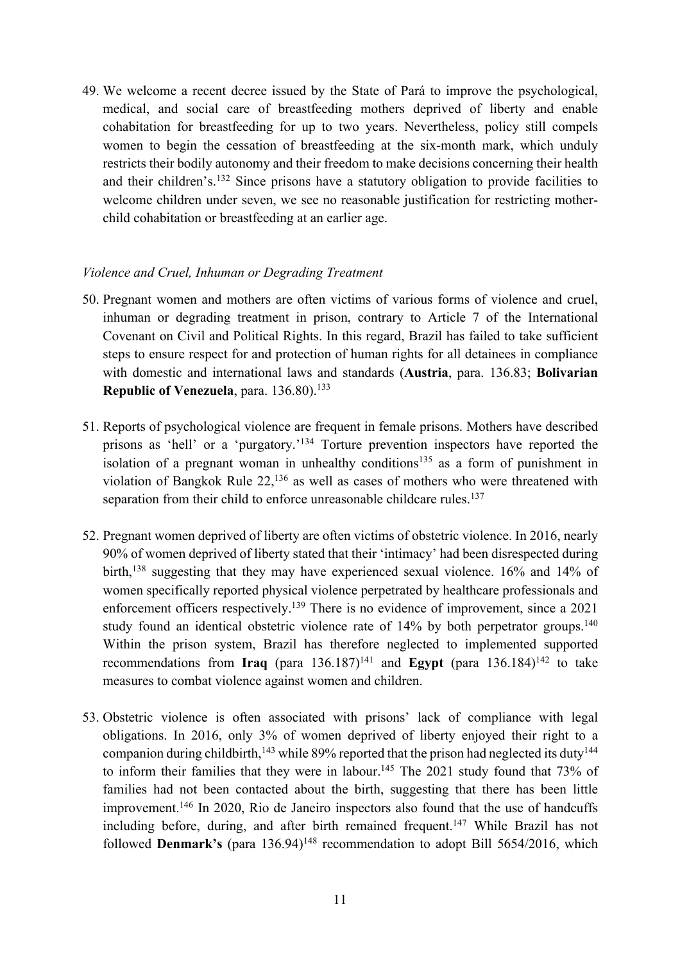49. We welcome a recent decree issued by the State of Pará to improve the psychological, medical, and social care of breastfeeding mothers deprived of liberty and enable cohabitation for breastfeeding for up to two years. Nevertheless, policy still compels women to begin the cessation of breastfeeding at the six-month mark, which unduly restricts their bodily autonomy and their freedom to make decisions concerning their health and their children's.132 Since prisons have a statutory obligation to provide facilities to welcome children under seven, we see no reasonable justification for restricting motherchild cohabitation or breastfeeding at an earlier age.

## *Violence and Cruel, Inhuman or Degrading Treatment*

- 50. Pregnant women and mothers are often victims of various forms of violence and cruel, inhuman or degrading treatment in prison, contrary to Article 7 of the International Covenant on Civil and Political Rights. In this regard, Brazil has failed to take sufficient steps to ensure respect for and protection of human rights for all detainees in compliance with domestic and international laws and standards (**Austria**, para. 136.83; **Bolivarian Republic of Venezuela**, para. 136.80). 133
- 51. Reports of psychological violence are frequent in female prisons. Mothers have described prisons as 'hell' or a 'purgatory.'<sup>134</sup> Torture prevention inspectors have reported the isolation of a pregnant woman in unhealthy conditions<sup>135</sup> as a form of punishment in violation of Bangkok Rule 22,136 as well as cases of mothers who were threatened with separation from their child to enforce unreasonable childcare rules.<sup>137</sup>
- 52. Pregnant women deprived of liberty are often victims of obstetric violence. In 2016, nearly 90% of women deprived of liberty stated that their 'intimacy' had been disrespected during birth,138 suggesting that they may have experienced sexual violence. 16% and 14% of women specifically reported physical violence perpetrated by healthcare professionals and enforcement officers respectively.<sup>139</sup> There is no evidence of improvement, since a 2021 study found an identical obstetric violence rate of 14% by both perpetrator groups.<sup>140</sup> Within the prison system, Brazil has therefore neglected to implemented supported recommendations from Iraq  $(\text{para } 136.187)^{141}$  and **Egypt**  $(\text{para } 136.184)^{142}$  to take measures to combat violence against women and children.
- 53. Obstetric violence is often associated with prisons' lack of compliance with legal obligations. In 2016, only 3% of women deprived of liberty enjoyed their right to a companion during childbirth,  $^{143}$  while 89% reported that the prison had neglected its duty  $^{144}$ to inform their families that they were in labour.<sup>145</sup> The 2021 study found that 73% of families had not been contacted about the birth, suggesting that there has been little improvement.<sup>146</sup> In 2020, Rio de Janeiro inspectors also found that the use of handcuffs including before, during, and after birth remained frequent.<sup>147</sup> While Brazil has not followed **Denmark's** (para 136.94)<sup>148</sup> recommendation to adopt Bill 5654/2016, which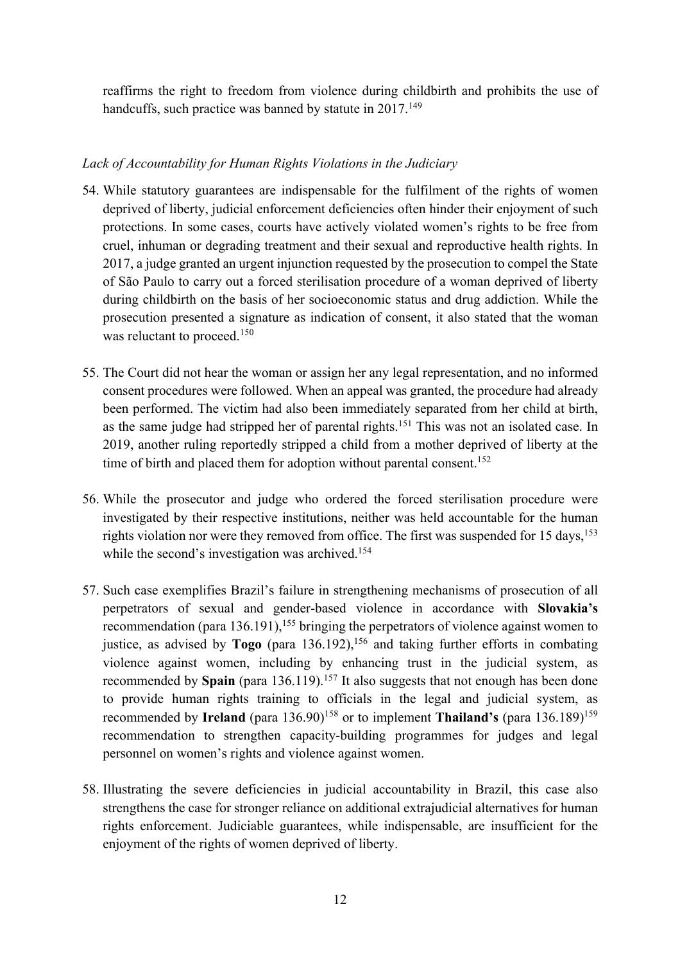reaffirms the right to freedom from violence during childbirth and prohibits the use of handcuffs, such practice was banned by statute in 2017.<sup>149</sup>

# *Lack of Accountability for Human Rights Violations in the Judiciary*

- 54. While statutory guarantees are indispensable for the fulfilment of the rights of women deprived of liberty, judicial enforcement deficiencies often hinder their enjoyment of such protections. In some cases, courts have actively violated women's rights to be free from cruel, inhuman or degrading treatment and their sexual and reproductive health rights. In 2017, a judge granted an urgent injunction requested by the prosecution to compel the State of São Paulo to carry out a forced sterilisation procedure of a woman deprived of liberty during childbirth on the basis of her socioeconomic status and drug addiction. While the prosecution presented a signature as indication of consent, it also stated that the woman was reluctant to proceed.<sup>150</sup>
- 55. The Court did not hear the woman or assign her any legal representation, and no informed consent procedures were followed. When an appeal was granted, the procedure had already been performed. The victim had also been immediately separated from her child at birth, as the same judge had stripped her of parental rights.<sup>151</sup> This was not an isolated case. In 2019, another ruling reportedly stripped a child from a mother deprived of liberty at the time of birth and placed them for adoption without parental consent.<sup>152</sup>
- 56. While the prosecutor and judge who ordered the forced sterilisation procedure were investigated by their respective institutions, neither was held accountable for the human rights violation nor were they removed from office. The first was suspended for 15 days,<sup>153</sup> while the second's investigation was archived.<sup>154</sup>
- 57. Such case exemplifies Brazil's failure in strengthening mechanisms of prosecution of all perpetrators of sexual and gender-based violence in accordance with **Slovakia's**  recommendation (para 136.191),<sup>155</sup> bringing the perpetrators of violence against women to justice, as advised by **Togo** (para 136.192), <sup>156</sup> and taking further efforts in combating violence against women, including by enhancing trust in the judicial system, as recommended by Spain (para 136.119).<sup>157</sup> It also suggests that not enough has been done to provide human rights training to officials in the legal and judicial system, as recommended by **Ireland** (para 136.90)<sup>158</sup> or to implement **Thailand's** (para 136.189)<sup>159</sup> recommendation to strengthen capacity-building programmes for judges and legal personnel on women's rights and violence against women.
- 58. Illustrating the severe deficiencies in judicial accountability in Brazil, this case also strengthens the case for stronger reliance on additional extrajudicial alternatives for human rights enforcement. Judiciable guarantees, while indispensable, are insufficient for the enjoyment of the rights of women deprived of liberty.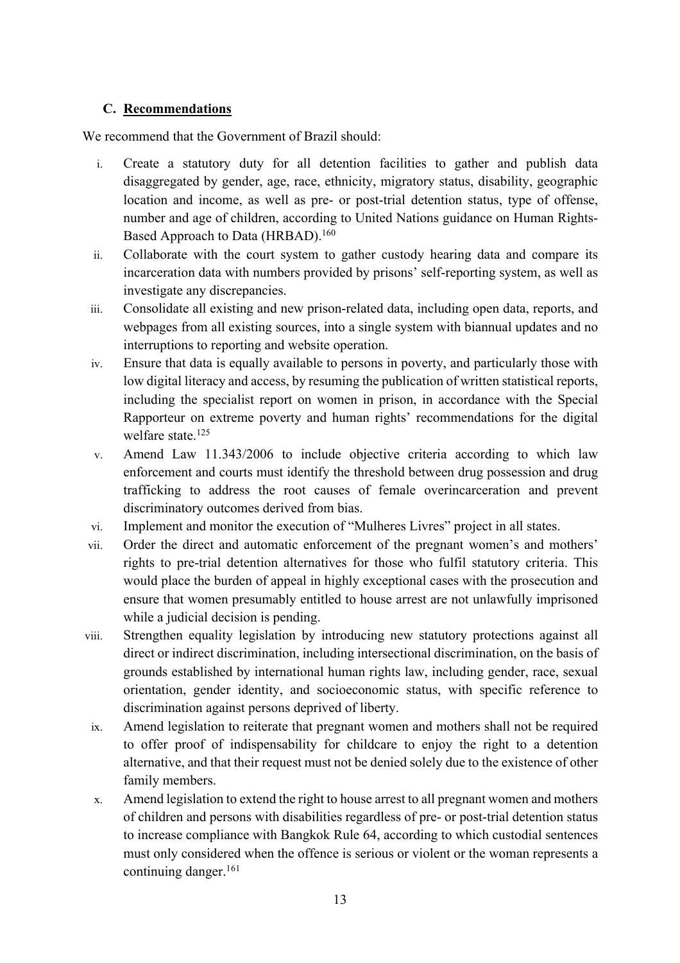# **C. Recommendations**

We recommend that the Government of Brazil should:

- i. Create a statutory duty for all detention facilities to gather and publish data disaggregated by gender, age, race, ethnicity, migratory status, disability, geographic location and income, as well as pre- or post-trial detention status, type of offense, number and age of children, according to United Nations guidance on Human Rights-Based Approach to Data (HRBAD).<sup>160</sup>
- ii. Collaborate with the court system to gather custody hearing data and compare its incarceration data with numbers provided by prisons' self-reporting system, as well as investigate any discrepancies.
- iii. Consolidate all existing and new prison-related data, including open data, reports, and webpages from all existing sources, into a single system with biannual updates and no interruptions to reporting and website operation.
- iv. Ensure that data is equally available to persons in poverty, and particularly those with low digital literacy and access, by resuming the publication of written statistical reports, including the specialist report on women in prison, in accordance with the Special Rapporteur on extreme poverty and human rights' recommendations for the digital welfare state.<sup>125</sup>
- v. Amend Law 11.343/2006 to include objective criteria according to which law enforcement and courts must identify the threshold between drug possession and drug trafficking to address the root causes of female overincarceration and prevent discriminatory outcomes derived from bias.
- vi. Implement and monitor the execution of "Mulheres Livres" project in all states.
- vii. Order the direct and automatic enforcement of the pregnant women's and mothers' rights to pre-trial detention alternatives for those who fulfil statutory criteria. This would place the burden of appeal in highly exceptional cases with the prosecution and ensure that women presumably entitled to house arrest are not unlawfully imprisoned while a judicial decision is pending.
- viii. Strengthen equality legislation by introducing new statutory protections against all direct or indirect discrimination, including intersectional discrimination, on the basis of grounds established by international human rights law, including gender, race, sexual orientation, gender identity, and socioeconomic status, with specific reference to discrimination against persons deprived of liberty.
- ix. Amend legislation to reiterate that pregnant women and mothers shall not be required to offer proof of indispensability for childcare to enjoy the right to a detention alternative, and that their request must not be denied solely due to the existence of other family members.
- x. Amend legislation to extend the right to house arrest to all pregnant women and mothers of children and persons with disabilities regardless of pre- or post-trial detention status to increase compliance with Bangkok Rule 64, according to which custodial sentences must only considered when the offence is serious or violent or the woman represents a continuing danger.<sup>161</sup>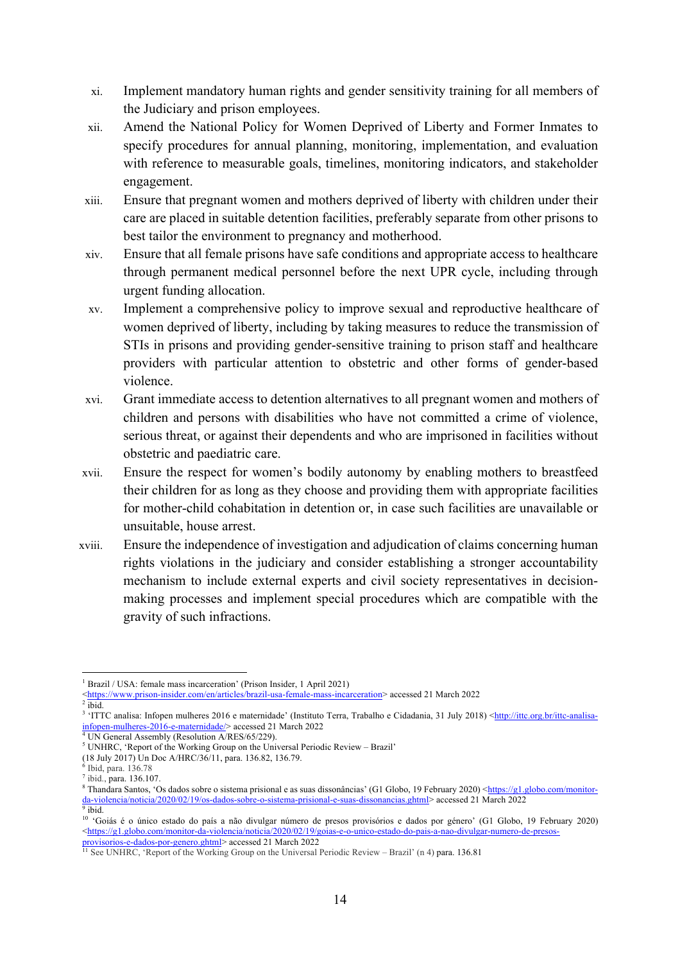- xi. Implement mandatory human rights and gender sensitivity training for all members of the Judiciary and prison employees.
- xii. Amend the National Policy for Women Deprived of Liberty and Former Inmates to specify procedures for annual planning, monitoring, implementation, and evaluation with reference to measurable goals, timelines, monitoring indicators, and stakeholder engagement.
- xiii. Ensure that pregnant women and mothers deprived of liberty with children under their care are placed in suitable detention facilities, preferably separate from other prisons to best tailor the environment to pregnancy and motherhood.
- xiv. Ensure that all female prisons have safe conditions and appropriate access to healthcare through permanent medical personnel before the next UPR cycle, including through urgent funding allocation.
- xv. Implement a comprehensive policy to improve sexual and reproductive healthcare of women deprived of liberty, including by taking measures to reduce the transmission of STIs in prisons and providing gender-sensitive training to prison staff and healthcare providers with particular attention to obstetric and other forms of gender-based violence.
- xvi. Grant immediate access to detention alternatives to all pregnant women and mothers of children and persons with disabilities who have not committed a crime of violence, serious threat, or against their dependents and who are imprisoned in facilities without obstetric and paediatric care.
- xvii. Ensure the respect for women's bodily autonomy by enabling mothers to breastfeed their children for as long as they choose and providing them with appropriate facilities for mother-child cohabitation in detention or, in case such facilities are unavailable or unsuitable, house arrest.
- xviii. Ensure the independence of investigation and adjudication of claims concerning human rights violations in the judiciary and consider establishing a stronger accountability mechanism to include external experts and civil society representatives in decisionmaking processes and implement special procedures which are compatible with the gravity of such infractions.

<sup>&</sup>lt;sup>1</sup> Brazil / USA: female mass incarceration' (Prison Insider, 1 April 2021)

<sup>&</sup>lt;https://www.prison-insider.com/en/articles/brazil-usa-female-mass-incarceration> accessed 21 March 2022

 $2 \overline{\text{ibid}}$ .

<sup>&</sup>lt;sup>3</sup> 'ITTC analisa: Infopen mulheres 2016 e maternidade' (Instituto Terra, Trabalho e Cidadania, 31 July 2018) <http://ittc.org.br/ittc-analisainfopen-mulheres-2016-e-maternidade/> accessed 21 March 2022

<sup>&</sup>lt;sup>4</sup> UN General Assembly (Resolution A/RES/65/229).

<sup>5</sup> UNHRC, 'Report of the Working Group on the Universal Periodic Review – Brazil'

<sup>(18</sup> July 2017) Un Doc A/HRC/36/11, para. 136.82, 136.79.

 $6$  Ibid, para. 136.78

<sup>7</sup> ibid., para. 136.107.

<sup>&</sup>lt;sup>8</sup> Thandara Santos, 'Os dados sobre o sistema prisional e as suas dissonâncias' (G1 Globo, 19 February 2020) <https://g1.globo.com/monitorda-violencia/noticia/2020/02/19/os-dados-sobre-o-sistema-prisional-e-suas-dissonancias.ghtml> accessed 21 March 2022 <sup>9</sup> ibid.

<sup>10</sup> 'Goiás é o único estado do país a não divulgar número de presos provisórios e dados por género' (G1 Globo, 19 February 2020)  $\langle \frac{https://gl.globo.com/monitor-da-violencia/noticia/2020/02/19/goias-e-o-unico-estado-do-pais-a-nao-divulgar-numero-de-press$ provisorios-e-dados-por-genero.ghtml> accessed 21 March 2022

<sup>&</sup>lt;sup>11</sup> See UNHRC, 'Report of the Working Group on the Universal Periodic Review – Brazil' (n 4) para. 136.81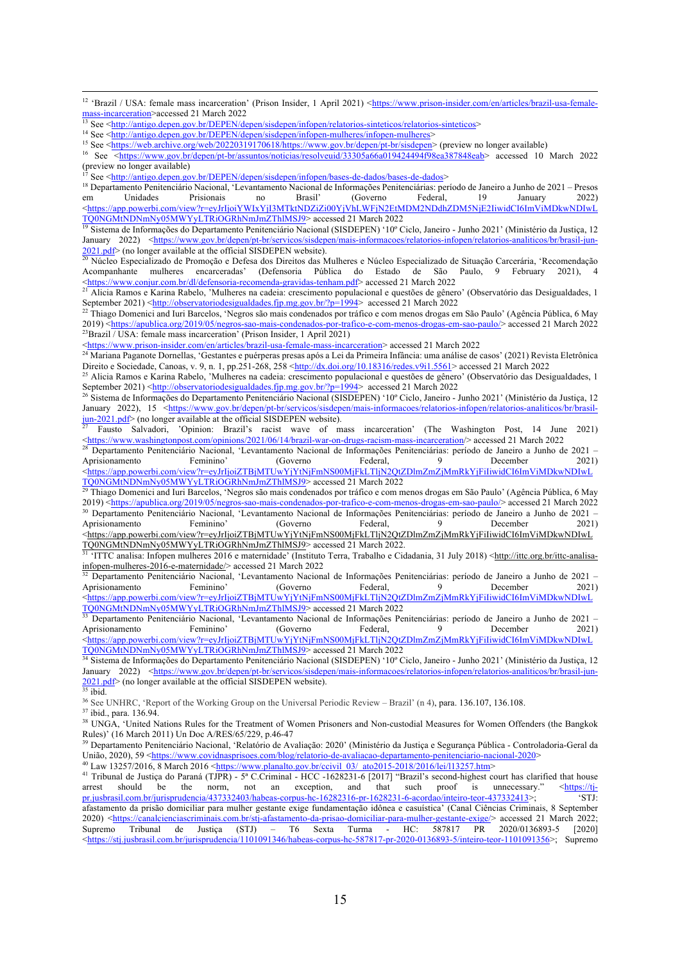<sup>15</sup> See <https://web.archive.org/web/20220319170618/https://www.gov.br/depen/pt-br/sisdepen> (preview no longer available) <sup>16</sup> See <https://www.gov.br/depen/pt-br/assuntos/noticias/resolveuid/33305a66a019424494f98ea387848eab> accessed 10 March 2022

(preview no longer available)

<sup>17</sup> See <http://antigo.depen.gov.br/DEPEN/depen/sisdepen/infopen/bases-de-dados/bases-de-dados>

<sup>18</sup> Departamento Penitenciário Nacional, 'Levantamento Nacional de Informações Penitenciárias: período de Janeiro a Junho de 2021 – Presos em Unidades Prisionais no Brasil' (Governo Federal, 19 January 2022) <https://app.powerbi.com/view?r=eyJrIjoiYWIxYjI3MTktNDZiZi00YjVhLWFjN2EtMDM2NDdhZDM5NjE2IiwidCI6ImViMDkwNDIwL TQ0NGMtNDNmNy05MWYyLTRiOGRhNmJmZThlMSJ9> accessed 21 March 2022

<sup>19</sup> Sistema de Informações do Departamento Penitenciário Nacional (SISDEPEN) '10° Ciclo, Janeiro - Junho 2021' (Ministério da Justiça, 12 January 2022) <https://www.gov.br/depen/pt-br/servicos/sisdepen/mais-informacoes/relatorios-infopen/relatorios-analiticos/br/brasil-jun-2021.pdf> (no longer available at the official SISDEPEN website).

<sup>20</sup> Núcleo Especializado de Promoção e Defesa dos Direitos das Mulheres e Núcleo Especializado de Situação Carcerária, 'Recomendação Acompanhante mulheres encarceradas' (Defensoria Pública do Estado de São Paulo, 9 February 2021), 4<br>
<https://www.conjur.com.br/dl/defensoria-recomenda-gravidas-tenham.pdf> accessed 21 March 2022

<sup>21</sup> Alicia Ramos e Karina Rabelo, 'Mulheres na cadeia: crescimento populacional e questões de gênero' (Observatório das Desigualdades, 1 September 2021) <http://observatoriodesigualdades.fjp.mg.gov.br/?p=1994> accessed 21 March 2022

<sup>22</sup> Thiago Domenici and Iuri Barcelos, 'Negros são mais condenados por tráfico e com menos drogas em São Paulo' (Agência Pública, 6 May 2019) <https://apublica.org/2019/05/negros-sao-mais-condenados-por-trafico-e-com-menos-drogas-em-sao-paulo/> accessed 21 March 2022  $^{23}$ Brazil / USA: female mass incarceration' (Prison Insider, 1 April 2021)

<https://www.prison-insider.com/en/articles/brazil-usa-female-mass-incarceration> accessed 21 March 2022

<sup>24</sup> Mariana Paganote Dornellas, 'Gestantes e puérperas presas após a Lei da Primeira Infância: uma análise de casos' (2021) Revista Eletrônica Direito e Sociedade, Canoas, v. 9, n. 1, pp.251-268, 258 <http://dx.doi.org/10.18316/redes.v9i1.5561> accessed 21 March 2022

<sup>25</sup> Alicia Ramos e Karina Rabelo, 'Mulheres na cadeia: crescimento populacional e questões de gênero' (Observatório das Desigualdades, 1 September 2021) <http://observatoriodesigualdades.fjp.mg.gov.br/?p=1994> accessed 21 March 2022

<sup>26</sup> Sistema de Informações do Departamento Penitenciário Nacional (SISDEPEN) '10° Ciclo, Janeiro - Junho 2021' (Ministério da Justiça, 12 January 2022), 15 <https://www.gov.br/depen/pt-br/servicos/sisdepen/mais-informacoes/relatorios-infopen/relatorios-analiticos/br/brasiljun-2021.pdf> (no longer available at the official SISDEPEN website).

<sup>27</sup> Fausto Salvadori, 'Opinion: Brazil's racist wave of mass incarceration' (The Washington Post, 14 June 2021) <https://www.washingtonpost.com/opinions/2021/06/14/brazil-war-on-drugs-racism-mass-incarceration/> accessed 21 March 2022

<sup>28</sup> Departamento Penitenciário Nacional, 'Levantamento Nacional de Informações Penitenciárias: período de Janeiro a Junho de 2021 – Aprisionamento Feminino' (Governo Federal, 9 December 2021) <https://app.powerbi.com/view?r=eyJrIjoiZTBjMTUwYjYtNjFmNS00MjFkLTljN2QtZDlmZmZjMmRkYjFiIiwidCI6ImViMDkwNDIwL TQ0NGMtNDNmNy05MWYyLTRiOGRhNmJmZThlMSJ9> accessed 21 March 2022

<sup>29</sup> Thiago Domenici and Iuri Barcelos, 'Negros são mais condenados por tráfico e com menos drogas em São Paulo' (Agência Pública, 6 May 2019) <https://apublica.org/2019/05/negros-sao-mais-condenados-por-trafico-e-com-menos-drogas-em-sao-paulo/> accessed 21 March 2022 <sup>30</sup> Departamento Penitenciário Nacional, 'Levantamento Nacional de Informações Penitenciárias: período de Janeiro a Junho de 2021 –<br>Aprisionamento Feminino, Coverno Federal 9 December 2021) Aprisionamento Feminino' (Governo Federal, 9 December 2021) <https://app.powerbi.com/view?r=eyJrIjoiZTBjMTUwYjYtNjFmNS00MjFkLTljN2QtZDlmZmZjMmRkYjFiIiwidCI6ImViMDkwNDIwL TQ0NGMtNDNmNy05MWYyLTRiOGRhNmJmZThlMSJ9> accessed 21 March 2022.

<sup>31</sup> 'ITTC analisa: Infopen mulheres 2016 e maternidade' (Instituto Terra, Trabalho e Cidadania, 31 July 2018) <http://ittc.org.br/ittc-analisainfopen-mulheres-2016-e-maternidade/> accessed 21 March 2022

<sup>32</sup> Departamento Penitenciário Nacional, 'Levantamento Nacional de Informações Penitenciárias: período de Janeiro a Junho de 2021 – Aprisionamento Feminino' (Governo Federal, 9 December 2021) <https://app.powerbi.com/view?r=eyJrIjoiZTBjMTUwYjYtNjFmNS00MjFkLTljN2QtZDlmZmZjMmRkYjFiIiwidCI6ImViMDkwNDIwL TQ0NGMtNDNmNy05MWYyLTRiOGRhNmJmZThlMSJ9> accessed 21 March 2022

<sup>33</sup> Departamento Penitenciário Nacional, 'Levantamento Nacional de Informações Penitenciárias: período de Janeiro a Junho de 2021 – Aprisionamento Feminino' (Governo Federal, 9 December 2021) <https://app.powerbi.com/view?r=eyJrIjoiZTBjMTUwYjYtNjFmNS00MjFkLTljN2QtZDlmZmZjMmRkYjFiIiwidCI6ImViMDkwNDIwL TQ0NGMtNDNmNy05MWYyLTRiOGRhNmJmZThlMSJ9> accessed 21 March 2022

<sup>34</sup> Sistema de Informações do Departamento Penitenciário Nacional (SISDEPEN) '10º Ciclo, Janeiro - Junho 2021' (Ministério da Justiça, 12 January 2022) <https://www.gov.br/depen/pt-br/servicos/sisdepen/mais-informacoes/relatorios-infopen/relatorios-analiticos/br/brasil-jun-2021.pdf> (no longer available at the official SISDEPEN website).

 $35$  ibid.

<sup>36</sup> See UNHRC, 'Report of the Working Group on the Universal Periodic Review – Brazil' (n 4), para. 136.107, 136.108.

<sup>37</sup> ibid., para. 136.94.

<sup>38</sup> UNGA, 'United Nations Rules for the Treatment of Women Prisoners and Non-custodial Measures for Women Offenders (the Bangkok Rules)' (16 March 2011) Un Doc A/RES/65/229, p.46-47

<sup>39</sup> Departamento Penitenciário Nacional, 'Relatório de Avaliação: 2020' (Ministério da Justiça e Segurança Pública - Controladoria-Geral da União, 2020), 59 <https://www.covidnasprisoes.com/blog/relatorio-de-avaliacao-departamento-penitenciario-nacional-2020>

40 Law 13257/2016, 8 March 2016 <https://www.planalto.gov.br/ccivil\_03/\_ato2015-2018/2016/lei/l13257.htm>

<sup>41</sup> Tribunal de Justiça do Paraná (TJPR) - 5<sup>ª</sup> C.Criminal - HCC -1628231-6 [2017] "Brazil's second-highest court has clarified that house arrest should be the norm, not an exception, and that such proof is unnecessary." <https://tj-<br>principlesial.com br/iurisprudencia/437332403/habeas-corpus-hc-16282316-pr-1628231-6-acordao/inteiro-teor-437332413>: 'STJ: pr.jusbrasil.com.br/jurisprudencia/437332403/habeas-corpus-hc-16282316-pr-1628231-6-acordao/inteiro-teor-437332413>; afastamento da prisão domiciliar para mulher gestante exige fundamentação idônea e casuística' (Canal Ciências Criminais, 8 September 2020) <https://canalcienciascriminais.com.br/stj-afastamento-da-prisao-domiciliar-para-mulher-gestante-exige/> accessed 21 March 2022;<br>Supremo Tribunal de Justiça (STJ) – T6 Sexta Turma - HC: 587817 PR 2020/0136893-5 [2020 Supremo Tribunal de Justiça (STJ) – T6 Sexta Turma - HC: 587817 PR 2020/0136893-5 [2020] <https://stj.jusbrasil.com.br/jurisprudencia/1101091346/habeas-corpus-hc-587817-pr-2020-0136893-5/inteiro-teor-1101091356>; Supremo

<sup>&</sup>lt;sup>12</sup> 'Brazil / USA: female mass incarceration' (Prison Insider, 1 April 2021) <https://www.prison-insider.com/en/articles/brazil-usa-female- $\frac{mass-incarceration}{\text{mass-incarceration}}$  accessed 21 March 2022

<sup>&</sup>lt;sup>13</sup> See <http://antigo.depen.gov.br/DEPEN/depen/sisdepen/infopen/relatorios-sinteticos/relatorios-sinteticos><br><sup>14</sup> See <http://<u>antigo.depen.gov.br/DEPEN/depen/sisdepen/infopen-mulheres/infopen-mulheres</u>>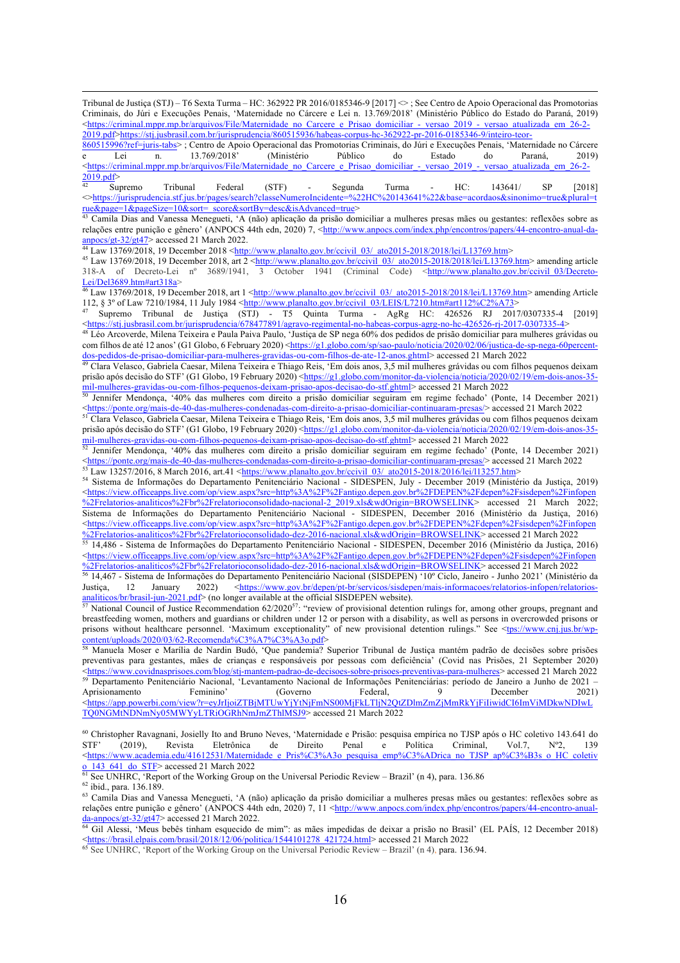Tribunal de Justiça (STJ) – T6 Sexta Turma – HC: 362922 PR 2016/0185346-9 [2017] <> ; See Centro de Apoio Operacional das Promotorias Criminais, do Júri e Execuções Penais, 'Maternidade no Cárcere e Lei n. 13.769/2018' (Ministério Público do Estado do Paraná, 2019) <https://criminal.mppr.mp.br/arquivos/File/Maternidade\_no\_Carcere\_e\_Prisao\_domiciliar\_-\_versao\_2019\_-\_versao\_atualizada\_em\_26-2-2019.pdf>https://stj.jusbrasil.com.br/jurisprudencia/860515936/habeas-corpus-hc-362922-pr-2016-0185346-9/inteiro-teor-

860515996?ref=juris-tabs> ; Centro de Apoio Operacional das Promotorias Criminais, do Júri e Execuções Penais, 'Maternidade no Cárcere e Lei n. 13.769/2018' (Ministério Público do Estado do Paraná, 2019) <https://criminal.mppr.mp.br/arquivos/File/Maternidade\_no\_Carcere\_e\_Prisao\_domiciliar\_-\_versao\_2019\_-\_versao\_atualizada\_em\_26-2-  $\frac{2019. \text{pdf}^{\scriptscriptstyle{0}}}{42}$ 

<sup>42</sup> Supremo Tribunal Federal (STF) - Segunda Turma - HC:  $143641/$  SP [2018] <>https://jurisprudencia.stf.jus.br/pages/search?classeNumeroIncidente=%22HC%20143641%22&base=acordaos&sinonimo=true&plural=t rue&page=1&pageSize=10&sort=\_score&sortBy=desc&isAdvanced=true>

<sup>43</sup> Camila Dias and Vanessa Menegueti, 'A (não) aplicação da prisão domiciliar a mulheres presas mães ou gestantes: reflexões sobre as relações entre punição e gênero' (ANPOCS 44th edn, 2020) 7, <http://www.anpocs.com/index.php/encontros/papers/44-encontro-anual-da- $\frac{\text{anpocs/gt-32/gt47}}{\text{accessed 21 March 2022}}$ .

 $^{44}$  Law 13769/2018, 19 December 2018 < $\underline{\text{http://www.planalto.gov.br/ccivil}}$  03/\_ato2015-2018/2018/lei/L13769.htm>

 $^{45}$  Law 13769/2018, 19 December 2018, art  $2 <http://www.planalto.gov.br/ccivil_03/2015-2018/2018/lei/L13769.htm>$ 318-A of Decreto-Lei nº 3689/1941, 3 October 1941 (Criminal Code) <http://www.planalto.gov.br/ccivil\_03/Decreto-Lei/Del3689.htm#art318a>

 $46$  Law 13769/2018, 19 December 2018, art  $1 \leq \frac{\text{http://www.planalto.gov.br/ccivil}03/ \text{ato2015-2018/2018/lei/L13769.htm}$  amending Article 112, § 3° of Law 7210/1984, 11 July 1984 <http://www.planalto.gov.br/ccivil\_03/LEIS/L7210.htm#art112%C2%A73>

<sup>47</sup> Supremo Tribunal de Justiça (STJ) - T5 Quinta Turma - AgRg HC: 426526 RJ 2017/0307335-4 [2019] <https://stj.jusbrasil.com.br/jurisprudencia/678477891/agravo-regimental-no-habeas-corpus-agrg-no-hc-426526-rj-2017-0307335-4>

48 Léo Arcoverde, Milena Teixeira e Paula Paiva Paulo, 'Justiça de SP nega 60% dos pedidos de prisão domiciliar para mulheres grávidas ou com filhos de até 12 anos' (G1 Globo, 6 February 2020) <https://g1.globo.com/sp/sao-paulo/noticia/2020/02/06/justica-de-sp-nega-60percentdos-pedidos-de-prisao-domiciliar-para-mulheres-gravidas-ou-com-filhos-de-ate-12-anos.ghtml> accessed 21 March 2022

49 Clara Velasco, Gabriela Caesar, Milena Teixeira e Thiago Reis, 'Em dois anos, 3,5 mil mulheres grávidas ou com filhos pequenos deixam prisão após decisão do STF' (G1 Globo, 19 February 2020) < $\frac{https://g1.globo.com/monitor-da-violencia/noticia/2020/02/19/en-dois-anos-35-1}{https://g1.globo.com/monitor-da-violencia/noticia/2020/02/19/en-dois-anos-35-1}$ mil-mulheres-gravidas-ou-com-filhos-pequenos-deixam-prisao-apos-decisao-do-stf.ghtml> accessed 21 March 2022

<sup>50</sup> Jennifer Mendonça, '40% das mulheres com direito a prisão domiciliar seguiram em regime fechado' (Ponte, 14 December 2021) <https://ponte.org/mais-de-40-das-mulheres-condenadas-com-direito-a-prisao-domiciliar-continuaram-presas/> accessed 21 March 2022

<sup>51</sup> Clara Velasco, Gabriela Caesar, Milena Teixeira e Thiago Reis, 'Em dois anos, 3,5 mil mulheres grávidas ou com filhos pequenos deixam prisão após decisão do STF' (G1 Globo, 19 February 2020) <https://g1.globo.com/monitor-da-violencia/noticia/2020/02/19/em-dois-anos-35mil-mulheres-gravidas-ou-com-filhos-pequenos-deixam-prisao-apos-decisao-do-stf.ghtml> accessed 21 March 2022

<sup>52</sup> Jennifer Mendonça, '40% das mulheres com direito a prisão domiciliar seguiram em regime fechado' (Ponte, 14 December 2021) <https://ponte.org/mais-de-40-das-mulheres-condenadas-com-direito-a-prisao-domiciliar-continuaram-presas/> accessed 21 March 2022 53 Law 13257/2016, 8 March 2016, art.41 <https://www.planalto.gov.br/ccivil\_03/\_ato2015-2018/2016/lei/l13257.htm>

<sup>54</sup> Sistema de Informações do Departamento Penitenciário Nacional - SIDESPEN, July - December 2019 (Ministério da Justiça, 2019) <https://view.officeapps.live.com/op/view.aspx?src=http%3A%2F%2Fantigo.depen.gov.br%2FDEPEN%2Fdepen%2Fsisdepen%2Finfopen %2Frelatorios-analiticos%2Fbr%2Frelatorioconsolidado-nacional-2\_2019.xls&wdOrigin=BROWSELINK> accessed 21 March 2022; Sistema de Informações do Departamento Penitenciário Nacional - SIDESPEN, December 2016 (Ministério da Justiça, 2016) <https://view.officeapps.live.com/op/view.aspx?src=http%3A%2F%2Fantigo.depen.gov.br%2FDEPEN%2Fdepen%2Fsisdepen%2Finfopen %2Frelatorios-analiticos%2Fbr%2Frelatorioconsolidado-dez-2016-nacional.xls&wdOrigin=BROWSELINK> accessed 21 March 2022

55 14,486 - Sistema de Informações do Departamento Penitenciário Nacional - SIDESPEN, December 2016 (Ministério da Justiça, 2016) <https://view.officeapps.live.com/op/view.aspx?src=http%3A%2F%2Fantigo.depen.gov.br%2FDEPEN%2Fdepen%2Fsisdepen%2Finfopen %2Frelatorios-analiticos%2Fbr%2Frelatorioconsolidado-dez-2016-nacional.xls&wdOrigin=BROWSELINK> accessed 21 March 2022

<sup>56</sup> 14,467 - Sistema de Informações do Departamento Penitenciário Nacional (SISDEPEN) '10º Ciclo, Janeiro - Junho 2021' (Ministério da Justiça, 12 January 2022) <https://www.gov.br/depen/pt-br/servicos/sisdepen/mais-informacoes/relatorios-infopen/relatoriosanaliticos/br/brasil-jun-2021.pdf> (no longer available at the official SISDEPEN website).

<sup>57</sup> National Council of Justice Recommendation  $62/2020^{57}$ : "review of provisional detention rulings for, among other groups, pregnant and breastfeeding women, mothers and guardians or children under 12 or person with a disability, as well as persons in overcrowded prisons or prisons without healthcare personnel. 'Maximum exceptionality" of new provisional detention rulings." See <tps://www.cnj.jus.br/wpcontent/uploads/2020/03/62-Recomenda%C3%A7%C3%A3o.pdf>

<sup>58</sup> Manuela Moser e Marília de Nardin Budó, 'Que pandemia? Superior Tribunal de Justiça mantém padrão de decisões sobre prisões preventivas para gestantes, mães de crianças e responsáveis por pessoas com deficiência' (Covid nas Prisões, 21 September 2020) <https://www.covidnasprisoes.com/blog/stj-mantem-padrao-de-decisoes-sobre-prisoes-preventivas-para-mulheres> accessed 21 March 2022 59 Departamento Penitenciário Nacional, 'Levantamento Nacional de Informações Penitenciárias: período de Janeiro a Junho de 2021 – Aprisionamento Feminino' (Governo Federal, 9 December 2021) <https://app.powerbi.com/view?r=eyJrIjoiZTBjMTUwYjYtNjFmNS00MjFkLTljN2QtZDlmZmZjMmRkYjFiIiwidCI6ImViMDkwNDIwL TQ0NGMtNDNmNy05MWYyLTRiOGRhNmJmZThlMSJ9> accessed 21 March 2022

<sup>60</sup> Christopher Ravagnani, Josielly Ito and Bruno Neves, 'Maternidade e Prisão: pesquisa empírica no TJSP após o HC coletivo 143.641 do STF' (2019), Revista Eletrônica de Direito Penal e Política Criminal, Vol.7, N°2, 139 STF' (2019), Revista Eletrônica de Direito Penal e Política Criminal, Vol.7, Nº2, 139 <https://www.academia.edu/41612531/Maternidade\_e\_Pris%C3%A3o\_pesquisa\_emp%C3%ADrica\_no\_TJSP\_ap%C3%B3s\_o\_HC\_coletiv o 143 641 do STF> accessed 21 March 2022

 $61$  See UNHRC, 'Report of the Working Group on the Universal Periodic Review – Brazil' (n 4), para. 136.86 <sup>62</sup> ibid., para. 136.189.

<sup>63</sup> Camila Dias and Vanessa Menegueti, 'A (não) aplicação da prisão domiciliar a mulheres presas mães ou gestantes: reflexões sobre as relações entre punição e gênero' (ANPOCS 44th edn, 2020) 7, 11 <http://www.anpocs.com/index.php/encontros/papers/44-encontro-anual- $\frac{1}{\text{da-ampocs/gt-32/gt47>}}$  accessed 21 March 2022.

<sup>64</sup> Gil Alessi, 'Meus bebês tinham esquecido de mim": as mães impedidas de deixar a prisão no Brasil' (EL PAÍS, 12 December 2018) https://brasil.elpais.com/brasil/2018/12/06/politica/1544101278 421724.html> accessed 21 March 2022

<sup>65</sup> See UNHRC, 'Report of the Working Group on the Universal Periodic Review – Brazil' (n 4), para. 136.94.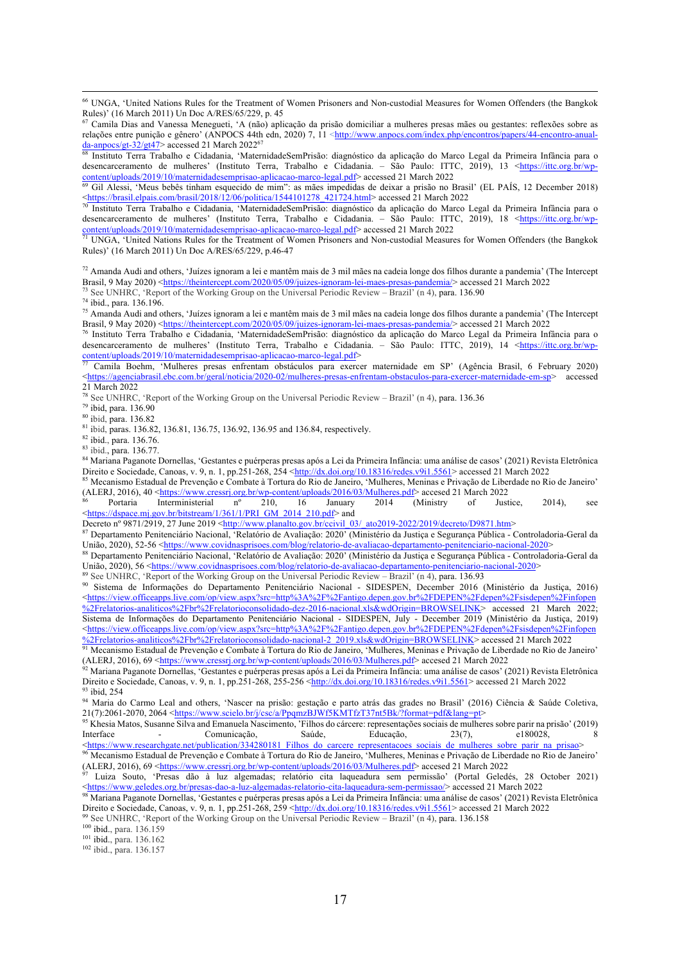<sup>68</sup> Instituto Terra Trabalho e Cidadania, 'MaternidadeSemPrisão: diagnóstico da aplicação do Marco Legal da Primeira Infância para o desencarceramento de mulheres' (Instituto Terra, Trabalho e Cidadania. – São Paulo: ITTC, 2019), 13 <https://ittc.org.br/wpcontent/uploads/2019/10/maternidadesemprisao-aplicacao-marco-legal.pdf> accessed 21 March 2022<br>
<u><sup>69</sup> Gil Alexei (Mayo Likés Ail)</u>

<sup>69</sup> Gil Alessi, 'Meus bebês tinham esquecido de mim": as mães impedidas de deixar a prisão no Brasil' (EL PAÍS, 12 December 2018) Shttps://brasil.elpais.com/brasil/2018/12/06/politica/1544101278\_421724.html> accessed 21 March 2022

<sup>70</sup> Instituto Terra Trabalho e Cidadania, 'MaternidadeSemPrisão: diagnóstico da aplicação do Marco Legal da Primeira Infância para o desencarceramento de mulheres' (Instituto Terra, Trabalho e Cidadania. – São Paulo: ITTC, 2019), 18 <https://ittc.org.br/wpcontent/uploads/2019/10/maternidadesemprisao-aplicacao-marco-legal.pdf> accessed 21 March 2022

<sup>71</sup> UNGA, 'United Nations Rules for the Treatment of Women Prisoners and Non-custodial Measures for Women Offenders (the Bangkok Rules)' (16 March 2011) Un Doc A/RES/65/229, p.46-47

 $72$  Amanda Audi and others, 'Juízes ignoram a lei e mantêm mais de 3 mil mães na cadeia longe dos filhos durante a pandemia' (The Intercept Brasil, 9 May 2020) <https://theintercept.com/2020/05/09/juizes-ignoram-lei-maes-presas-pandemia/> accessed 21 March 2022 <sup>73</sup> See UNHRC, 'Report of the Working Group on the Universal Periodic Review – Brazil' (n 4), para. 136.90

<sup>74</sup> ibid., para. 136.196.

<sup>75</sup> Amanda Audi and others, 'Juízes ignoram a lei e mantêm mais de 3 mil mães na cadeia longe dos filhos durante a pandemia' (The Intercept Brasil, 9 May 2020) <https://theintercept.com/2020/05/09/juizes-ignoram-lei-maes-presas-pandemia/> accessed 21 March 2022

<sup>76</sup> Instituto Terra Trabalho e Cidadania, 'MaternidadeSemPrisão: diagnóstico da aplicação do Marco Legal da Primeira Infância para o desencarceramento de mulheres' (Instituto Terra, Trabalho e Cidadania. – São Paulo: ITTC, 2019), 14 <https://ittc.org.br/wpcontent/uploads/2019/10/maternidadesemprisao-aplicacao-marco-legal.pdf>

<sup>77</sup> Camila Boehm, 'Mulheres presas enfrentam obstáculos para exercer maternidade em SP' (Agência Brasil, 6 February 2020) <https://agenciabrasil.ebc.com.br/geral/noticia/2020-02/mulheres-presas-enfrentam-obstaculos-para-exercer-maternidade-em-sp> accessed 21 March 2022

<sup>78</sup> See UNHRC, 'Report of the Working Group on the Universal Periodic Review – Brazil' (n 4), para. 136.36

<sup>79</sup> ibid, para. 136.90

<sup>80</sup> ibid, para. 136.82

<sup>81</sup> ibid, paras. 136.82, 136.81, 136.75, 136.92, 136.95 and 136.84, respectively.

<sup>82</sup> ibid., para. 136.76.

<sup>83</sup> ibid., para. 136.77.

<sup>84</sup> Mariana Paganote Dornellas, 'Gestantes e puérperas presas após a Lei da Primeira Infância: uma análise de casos' (2021) Revista Eletrônica Direito e Sociedade, Canoas, v. 9, n. 1, pp.251-268, 254 <http://dx.doi.org/10.18316/redes.v9i1.5561> accessed 21 March 2022

85 Mecanismo Estadual de Prevenção e Combate à Tortura do Rio de Janeiro, 'Mulheres, Meninas e Privação de Liberdade no Rio de Janeiro' (ALERJ, 2016), 40 <https://www.cressrj.org.br/wp-content/uploads/2016/03/Mulheres.pdf> accesed 21 March 2022

<sup>86</sup> Portaria Interministerial nº 210, 16 January 2014 (Ministry of Justice, 2014), see <https://dspace.mj.gov.br/bitstream/1/361/1/PRI\_GM\_2014\_210.pdf> and

Decreto nº 9871/2919, 27 June 2019 <http://www.planalto.gov.br/ccivil\_03/\_ato2019-2022/2019/decreto/D9871.htm>

<sup>87</sup> Departamento Penitenciário Nacional, 'Relatório de Avaliação: 2020' (Ministério da Justiça e Segurança Pública - Controladoria-Geral da União, 2020), 52-56 <https://www.covidnasprisoes.com/blog/relatorio-de-avaliacao-departamento-penitenciario-nacional-2020>

<sup>88</sup> Departamento Penitenciário Nacional, 'Relatório de Avaliação: 2020' (Ministério da Justiça e Segurança Pública - Controladoria-Geral da União, 2020), 56 <https://www.covidnasprisoes.com/blog/relatorio-de-avaliacao-departamento-penitenciario-nacional-2020>

<sup>9</sup> See UNHRC, 'Report of the Working Group on the Universal Periodic Review – Brazil' (n 4), para. 136.93

<sup>90</sup> Sistema de Informações do Departamento Penitenciário Nacional - SIDESPEN, December 2016 (Ministério da Justiça, 2016) <https://view.officeapps.live.com/op/view.aspx?src=http%3A%2F%2Fantigo.depen.gov.br%2FDEPEN%2Fdepen%2Fsisdepen%2Finfopen %2Frelatorios-analiticos%2Fbr%2Frelatorioconsolidado-dez-2016-nacional.xls&wdOrigin=BROWSELINK> accessed 21 March 2022; Sistema de Informações do Departamento Penitenciário Nacional - SIDESPEN, July - December 2019 (Ministério da Justiça, 2019) <https://view.officeapps.live.com/op/view.aspx?src=http%3A%2F%2Fantigo.depen.gov.br%2FDEPEN%2Fdepen%2Fsisdepen%2Finfopen %2Frelatorios-analiticos%2Fbr%2Frelatorioconsolidado-nacional-2\_2019.xls&wdOrigin=BROWSELINK> accessed 21 March 2022

 $92$  Mariana Paganote Dornellas, 'Gestantes e puérperas presas após a Lei da Primeira Infância: uma análise de casos' (2021) Revista Eletrônica Direito e Sociedade, Canoas, v. 9, n. 1, pp.251-268, 255-256 < $\frac{http://dx.doi.org/10.18316/redes.v9i1.5561>$  accessed 21 March 2022<br><sup>93</sup> ibid, 254

<sup>93</sup> ibid, 254 94 Maria do Carmo Leal and others, 'Nascer na prisão: gestação e parto atrás das grades no Brasil' (2016) Ciência & Saúde Coletiva, 21(7):2061-2070, 2064 <https://www.scielo.br/j/csc/a/PpqmzBJWf5KMTfzT37nt5Bk/?format=pdf&lang=pt>

<sup>95</sup> Khesia Matos, Susanne Silva and Emanuela Nascimento, 'Filhos do cárcere: representações sociais de mulheres sobre parir na prisão' (2019) Interface - Comunicação, Saúde, Educação, 23(7), e180028, 8 <https://www.researchgate.net/publication/334280181\_Filhos\_do\_carcere\_representacoes\_sociais\_de\_mulheres\_sobre\_parir\_na\_prisao>

<sup>96</sup> Mecanismo Estadual de Prevenção e Combate à Tortura do Rio de Janeiro, 'Mulheres, Meninas e Privação de Liberdade no Rio de Janeiro' (ALERJ, 2016), 69 <https://www.cressrj.org.br/wp-content/uploads/2016/03/Mulheres.pdf> accesed 21 March 2022

<sup>97</sup> Luiza Souto, 'Presas dão à luz algemadas; relatório cita laqueadura sem permissão' (Portal Geledés, 28 October 2021) <https://www.geledes.org.br/presas-dao-a-luz-algemadas-relatorio-cita-laqueadura-sem-permissao/> accessed 21 March 2022

<sup>98</sup> Mariana Paganote Dornellas, 'Gestantes e puérperas presas após a Lei da Primeira Infância: uma análise de casos' (2021) Revista Eletrônica Direito e Sociedade, Canoas, v. 9, n. 1, pp.251-268, 259 <http://dx.doi.org/10.18316/redes.v9i1.5561> accessed 21 March 2022

<sup>99</sup> See UNHRC, 'Report of the Working Group on the Universal Periodic Review – Brazil' (n 4), para. 136.158

<sup>100</sup> ibid., para. 136.159

<sup>101</sup> ibid., para. 136.162

<sup>102</sup> ibid., para. 136.157

<sup>66</sup> UNGA, 'United Nations Rules for the Treatment of Women Prisoners and Non-custodial Measures for Women Offenders (the Bangkok Rules)' (16 March 2011) Un Doc A/RES/65/229, p. 45

<sup>67</sup> Camila Dias and Vanessa Menegueti, 'A (não) aplicação da prisão domiciliar a mulheres presas mães ou gestantes: reflexões sobre as relações entre punição e gênero' (ANPOCS 44th edn, 2020) 7, 11 <http://www.anpocs.com/index.php/encontros/papers/44-encontro-anual $da\text{-anpocs/gt-32/gt47}$  accessed 21 March 2022<sup>67</sup>

<sup>91</sup> Mecanismo Estadual de Prevenção e Combate à Tortura do Rio de Janeiro, 'Mulheres, Meninas e Privação de Liberdade no Rio de Janeiro' (ALERJ, 2016), 69 <https://www.cressrj.org.br/wp-content/uploads/2016/03/Mulheres.pdf> accesed 21 March 2022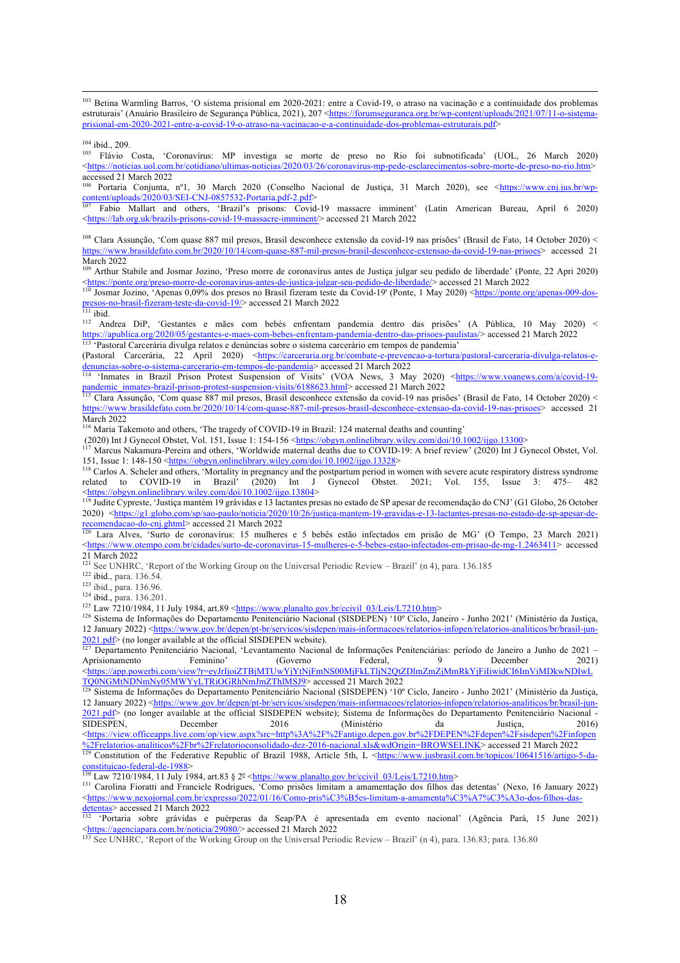<sup>103</sup> Betina Warmling Barros, 'O sistema prisional em 2020-2021: entre a Covid-19, o atraso na vacinação e a continuidade dos problemas estruturais' (Anuário Brasileiro de Segurança Pública, 2021), 207 <https://forumseguranca.org.br/wp-content/uploads/2021/07/11-o-sistemaprisional-em-2020-2021-entre-a-covid-19-o-atraso-na-vacinacao-e-a-continuidade-dos-problemas-estruturais.pdf>

<sup>104</sup> ibid., 209.

<sup>105</sup> Flávio Costa, 'Coronavírus: MP investiga se morte de preso no Rio foi subnotificada' (UOL, 26 March 2020) <https://noticias.uol.com.br/cotidiano/ultimas-noticias/2020/03/26/coronavirus-mp-pede-esclarecimentos-sobre-morte-de-preso-no-rio.htm> accessed 21 March 2022

Portaria Conjunta, nº1, 30 March 2020 (Conselho Nacional de Justiça, 31 March 2020), see <https://www.cnj.jus.br/wp- $\frac{1}{107}$  Estis 2020/03/SEI-CNJ-0857532-Portaria.pdf-2.pdf>

<sup>107</sup> Fabio Mallart and others, 'Brazil's prisons: Covid-19 massacre imminent' (Latin American Bureau, April 6 2020) <https://lab.org.uk/brazils-prisons-covid-19-massacre-imminent/> accessed 21 March 2022

<sup>108</sup> Clara Assunção, 'Com quase 887 mil presos, Brasil desconhece extensão da covid-19 nas prisões' (Brasil de Fato, 14 October 2020) < https://www.brasildefato.com.br/2020/10/14/com-quase-887-mil-presos-brasil-desconhece-extensao-da-covid-19-nas-prisoes> accessed 21 March 2022

<sup>109</sup> Arthur Stabile and Josmar Jozino, 'Preso morre de coronavírus antes de Justiça julgar seu pedido de liberdade' (Ponte, 22 Apri 2020) <https://ponte.org/preso-morre-de-coronavirus-antes-de-justica-julgar-seu-pedido-de-liberdade/> accessed 21 March 2022

<sup>110</sup> Josmar Jozino, 'Apenas 0,09% dos presos no Brasil fizeram teste da Covid-19' (Ponte, 1 May 2020) <https://ponte.org/apenas-009-dospresos-no-brasil-fizeram-teste-da-covid-19/> accessed 21 March 2022

 $111$  ibid.

<sup>112</sup> Andrea DiP, 'Gestantes e mães com bebés enfrentam pandemia dentro das prisões' (A Pública, 10 May 2020) < https://apublica.org/2020/05/gestantes-e-maes-com-bebes-enfrentam-pandemia-dentro-das-prisoes-paulistas/> accessed 21 March 2022 <sup>113</sup> 'Pastoral Carcerária divulga relatos e denúncias sobre o sistema carcerário em tempos de pandemia'

(Pastoral Carcerária, 22 April 2020) <https://carceraria.org.br/combate-e-prevencao-a-tortura/pastoral-carceraria-divulga-relatos-edenuncias-sobre-o-sistema-carcerario-em-tempos-de-pandemia> accessed 21 March 2022

<sup>114</sup> 'Inmates in Brazil Prison Protest Suspension of Visits' (VOA News, 3 May 2020) <https://www.voanews.com/a/covid-19pandemic\_inmates-brazil-prison-protest-suspension-visits/6188623.html> accessed 21 March 2022

<sup>115</sup> Clara Assunção, 'Com quase 887 mil presos, Brasil desconhece extensão da covid-19 nas prisões' (Brasil de Fato, 14 October 2020) < https://www.brasildefato.com.br/2020/10/14/com-quase-887-mil-presos-brasil-desconhece-extensao-da-covid-19-nas-prisoes> accessed 21 March 2022

<sup>116</sup> Maria Takemoto and others, 'The tragedy of COVID-19 in Brazil: 124 maternal deaths and counting'

(2020) Int J Gynecol Obstet, Vol. 151, Issue 1: 154-156 <https://obgyn.onlinelibrary.wiley.com/doi/10.1002/ijgo.13300><br> $\frac{117}{117}$  Marcus Nakamura Barcia: 1:14 (W. 11.1)

<sup>117</sup> Marcus Nakamura-Pereira and others, 'Worldwide maternal deaths due to COVID-19: A brief review' (2020) Int J Gynecol Obstet, Vol. 151, Issue 1: 148-150 <https://obgyn.onlinelibrary.wiley.com/doi/10.1002/ijgo.13328>

<sup>118</sup> Carlos A. Scheler and others, 'Mortality in pregnancy and the postpartum period in women with severe acute respiratory distress syndrome related to COVID-19 in Brazil' (2020) Int J Gynecol Obstet. 2021; Vol. 155, Issue 3: 475– 482 <https://obgyn.onlinelibrary.wiley.com/doi/10.1002/ijgo.13804>

119 Judite Cypreste, 'Justiça mantém 19 grávidas e 13 lactantes presas no estado de SP apesar de recomendação do CNJ' (G1 Globo, 26 October 2020)  $\frac{\text{https://gl.globo.com/sp/sao-paulo/noticia/2020/10/26/justica-mantem-19-gravidas-e-13-lactantes-pressa-no-estado-de-sp-apesar-de-  
recomendaca-o-do-cnj ghtml> accessed 21 March 2022$ 

Lara Alves, 'Surto de coronavírus: 15 mulheres e 5 bebês estão infectados em prisão de MG' (O Tempo, 23 March 2021) <https://www.otempo.com.br/cidades/surto-de-coronavirus-15-mulheres-e-5-bebes-estao-infectados-em-prisao-de-mg-1.2463411> accessed 21 March 2022

<sup>121</sup> See UNHRC, 'Report of the Working Group on the Universal Periodic Review – Brazil' (n 4), para. 136.185

<sup>122</sup> ibid., para. 136.54.

123 ibid., para. 136.96.

<sup>124</sup> ibid., para. 136.201.

 $125$  Law 7210/1984, 11 July 1984, art.89 <https://www.planalto.gov.br/ccivil\_03/Leis/L7210.htm>

<sup>126</sup> Sistema de Informações do Departamento Penitenciário Nacional (SISDEPEN) '10° Ciclo, Janeiro - Junho 2021' (Ministério da Justiça, 12 January 2022) <https://www.gov.br/depen/pt-br/servicos/sisdepen/mais-informacoes/relatorios-infopen/relatorios-analiticos/br/brasil-jun-2021.pdf> (no longer available at the official SISDEPEN website).

<sup>127</sup> Departamento Penitenciário Nacional, 'Levantamento Nacional de Informações Penitenciárias: período de Janeiro a Junho de 2021 – Aprisionamento Feminino' (Governo Federal, 9 December 2021) <https://app.powerbi.com/view?r=eyJrIjoiZTBjMTUwYjYtNjFmNS00MjFkLTljN2QtZDlmZmZjMmRkYjFiIiwidCI6ImViMDkwNDIwL TQ0NGMtNDNmNy05MWYyLTRiOGRhNmJmZThlMSJ9> accessed 21 March 2022

<sup>128</sup> Sistema de Informações do Departamento Penitenciário Nacional (SISDEPEN) '10° Ciclo, Janeiro - Junho 2021' (Ministério da Justiça, 12 January 2022) <https://www.gov.br/depen/pt-br/servicos/sisdepen/mais-informacoes/relatorios-infopen/relatorios-analiticos/br/brasil-jun-2021.pdf> (no longer available at the official SISDEPEN website); Sistema de Informações do Departamento Penitenciário Nacional - SIDESPEN, December 2016 (Ministério da Justiça, 2016) <https://view.officeapps.live.com/op/view.aspx?src=http%3A%2F%2Fantigo.depen.gov.br%2FDEPEN%2Fdepen%2Fsisdepen%2Finfopen %2Frelatorios-analiticos%2Fbr%2Frelatorioconsolidado-dez-2016-nacional.xls&wdOrigin=BROWSELINK> accessed 21 March 2022 <sup>129</sup> Constitution of the Federative Republic of Brazil 1988, Article 5th, L <https://www.jusbrasil.com.br/topicos/10641516/artigo-5-daconstituicao-federal-de-1988>

 $130$  Law 7210/1984, 11 July 1984, art.83 §  $2^{\circ}$  <https://www.planalto.gov.br/ccivil\_03/Leis/L7210.htm>

131 Carolina Fioratti and Franciele Rodrigues, 'Como prisões limitam a amamentação dos filhos das detentas' (Nexo, 16 January 2022) <https://www.nexojornal.com.br/expresso/2022/01/16/Como-pris%C3%B5es-limitam-a-amamenta%C3%A7%C3%A3o-dos-filhos-dasdetentas> accessed 21 March 2022

<sup>132</sup> 'Portaria sobre grávidas e puérperas da Seap/PA é apresentada em evento nacional' (Agência Pará, 15 June 2021) <https://agenciapara.com.br/noticia/29080/> accessed 21 March 2022

<sup>133</sup> See UNHRC, 'Report of the Working Group on the Universal Periodic Review – Brazil' (n 4), para. 136.83; para. 136.80